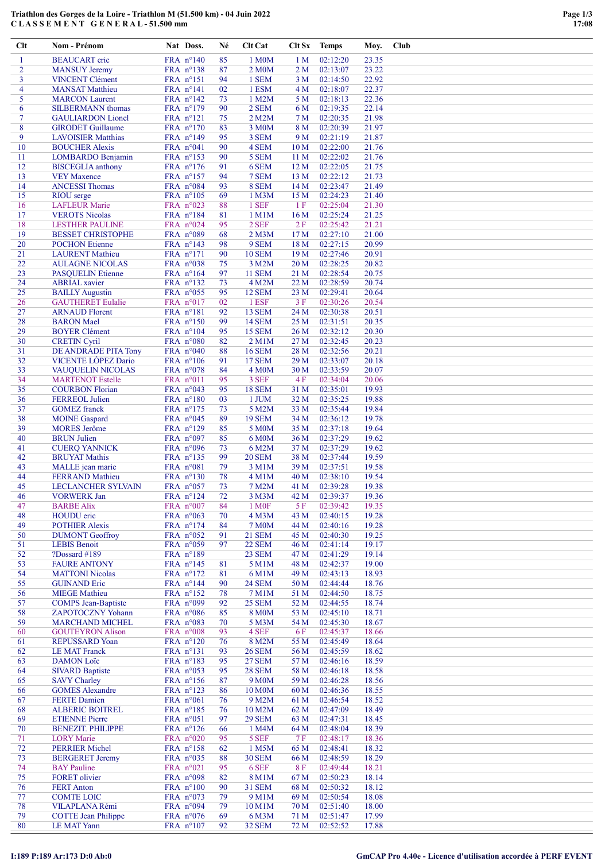## Triathlon des Gorges de la Loire - Triathlon M (51.500 km) - 04 Juin 2022 C L A S S E M E N T G E N E R A L - 51.500 mm

| Clt            | Nom - Prénom                                | Nat Doss.                       | Né       | Clt Cat                             | Clt Sx          | <b>Temps</b>         | Moy.           | <b>Club</b> |
|----------------|---------------------------------------------|---------------------------------|----------|-------------------------------------|-----------------|----------------------|----------------|-------------|
| 1              | <b>BEAUCART</b> eric                        | FRA n°140                       | 85       | 1 M0M                               | 1 <sub>M</sub>  | 02:12:20             | 23.35          |             |
| $\overline{2}$ | <b>MANSUY Jeremy</b>                        | FRA n°138                       | 87       | 2 M <sub>0</sub> M                  | 2 M             | 02:13:07             | 23.22          |             |
| 3              | <b>VINCENT Clément</b>                      | FRA nº151                       | 94       | 1 SEM                               | 3 M             | 02:14:50             | 22.92          |             |
| 4              | <b>MANSAT Matthieu</b>                      | FRA n°141                       | 02       | 1 ESM                               | 4 M             | 02:18:07             | 22.37          |             |
| 5              | <b>MARCON</b> Laurent                       | FRA nº142                       | 73       | 1 M2M                               | 5 M             | 02:18:13             | 22.36          |             |
| 6              | <b>SILBERMANN</b> thomas                    | FRA n°179                       | 90       | 2 SEM                               | 6 M             | 02:19:35             | 22.14          |             |
| $\tau$         | <b>GAULIARDON</b> Lionel                    | FRA nº121                       | 75       | 2 M2M                               | 7 <sub>M</sub>  | 02:20:35             | 21.98          |             |
| 8              | <b>GIRODET</b> Guillaume                    | FRA n°170                       | 83       | 3 M <sub>0</sub> M                  | 8 M             | 02:20:39             | 21.97          |             |
| 9              | <b>LAVOISIER Matthias</b>                   | FRA n°149                       | 95       | 3 SEM                               | 9 M             | 02:21:19             | 21.87          |             |
| 10             | <b>BOUCHER Alexis</b>                       | FRA n°041                       | 90       | 4 SEM                               | 10 <sub>M</sub> | 02:22:00             | 21.76          |             |
| 11             | LOMBARDO Benjamin                           | FRA nº153                       | 90       | 5 SEM                               | 11 M            | 02:22:02             | 21.76          |             |
| 12             | <b>BISCEGLIA</b> anthony                    | FRA n°176                       | 91       | 6 SEM                               | 12 <sub>M</sub> | 02:22:05             | 21.75          |             |
| 13             | <b>VEY Maxence</b>                          | FRA $n^{\circ}157$              | 94       | 7 SEM                               | 13 M            | 02:22:12             | 21.73          |             |
| 14             | <b>ANCESSI Thomas</b>                       | FRA n°084                       | 93       | 8 SEM                               | 14M             | 02:23:47             | 21.49          |             |
| 15<br>16       | <b>RIOU</b> serge<br><b>LAFLEUR Marie</b>   | FRA n°105                       | 69<br>88 | 1 M3M<br>1 SEF                      | 15 M<br>1F      | 02:24:23<br>02:25:04 | 21.40<br>21.30 |             |
| 17             | <b>VEROTS Nicolas</b>                       | FRA $n^{\circ}023$<br>FRA n°184 | 81       | 1 M1M                               | 16M             | 02:25:24             | 21.25          |             |
| 18             | <b>LESTHER PAULINE</b>                      | FRA n°024                       | 95       | 2 SEF                               | 2F              | 02:25:42             | 21.21          |             |
| 19             | <b>BESSET CHRISTOPHE</b>                    | FRA n°089                       | 68       | $2$ M $3$ M                         | 17 <sub>M</sub> | 02:27:10             | 21.00          |             |
| 20             | <b>POCHON</b> Etienne                       | FRA $n^{\circ}$ 143             | 98       | 9 SEM                               | 18 M            | 02:27:15             | 20.99          |             |
| 21             | <b>LAURENT</b> Mathieu                      | FRA n°171                       | 90       | <b>10 SEM</b>                       | 19 M            | 02:27:46             | 20.91          |             |
| 22             | <b>AULAGNE NICOLAS</b>                      | FRA $n°038$                     | 75       | 3 M2M                               | 20 M            | 02:28:25             | 20.82          |             |
| 23             | <b>PASQUELIN Etienne</b>                    | FRA nº164                       | 97       | <b>11 SEM</b>                       | 21 M            | 02:28:54             | 20.75          |             |
| 24             | <b>ABRIAL</b> xavier                        | FRA nº132                       | 73       | 4 M2M                               | 22 M            | 02:28:59             | 20.74          |             |
| 25             | <b>BAILLY Augustin</b>                      | FRA n°055                       | 95       | <b>12 SEM</b>                       | 23 M            | 02:29:41             | 20.64          |             |
| 26             | <b>GAUTHERET Eulalie</b>                    | FRA n°017                       | 02       | 1 ESF                               | 3F              | 02:30:26             | 20.54          |             |
| 27             | <b>ARNAUD Florent</b>                       | $FRA$ $n^{\circ}181$            | 92       | <b>13 SEM</b>                       | 24 M            | 02:30:38             | 20.51          |             |
| 28             | <b>BARON</b> Mael                           | FRA n°150                       | 99       | <b>14 SEM</b>                       | 25 M            | 02:31:51             | 20.35          |             |
| 29             | <b>BOYER Clément</b>                        | FRA n°104                       | 95       | <b>15 SEM</b>                       | 26 M            | 02:32:12             | 20.30          |             |
| 30             | <b>CRETIN Cyril</b>                         | FRA n°080                       | 82       | 2 M1M                               | 27 M            | 02:32:45             | 20.23          |             |
| 31             | DE ANDRADE PITA Tony                        | FRA $n°040$                     | 88       | <b>16 SEM</b>                       | 28 M            | 02:32:56             | 20.21          |             |
| 32             | VICENTE LÓPEZ Dario                         | FRA n°106                       | 91       | <b>17 SEM</b>                       | 29 M            | 02:33:07             | 20.18          |             |
| 33             | <b>VAUQUELIN NICOLAS</b>                    | FRA n°078                       | 84       | 4 M <sub>0</sub> M                  | 30 M            | 02:33:59             | 20.07          |             |
| 34             | <b>MARTENOT Estelle</b>                     | FRA n°011                       | 95       | 3 SEF                               | 4 F             | 02:34:04             | 20.06          |             |
| 35             | <b>COURBON Florian</b>                      | FRA $n°043$                     | 95       | <b>18 SEM</b>                       | 31 M            | 02:35:01             | 19.93          |             |
| 36             | <b>FERREOL Julien</b>                       | FRA n°180                       | 03       | 1 JUM                               | 32 M            | 02:35:25             | 19.88          |             |
| 37             | <b>GOMEZ</b> franck                         | FRA n°175                       | 73       | 5 M2M                               | 33 M            | 02:35:44             | 19.84          |             |
| 38             | <b>MOINE</b> Gaspard                        | FRA $n°045$                     | 89       | <b>19 SEM</b>                       | 34 M            | 02:36:12             | 19.78          |             |
| 39<br>40       | <b>MORES</b> Jerôme<br><b>BRUN Julien</b>   | FRA n°129<br>FRA n°097          | 85<br>85 | 5 M <sub>0</sub> M                  | 35 M<br>36 M    | 02:37:18<br>02:37:29 | 19.64<br>19.62 |             |
| 41             | <b>CUERO YANNICK</b>                        |                                 | 73       | 6 M <sub>0</sub> M<br>6 M2M         | 37 M            | 02:37:29             | 19.62          |             |
| 42             | <b>BRUYAT Mathis</b>                        | FRA $n^{\circ}096$<br>FRA nº135 | 99       | <b>20 SEM</b>                       | 38 M            | 02:37:44             | 19.59          |             |
| 43             | MALLE jean marie                            | FRA n°081                       | 79       | 3 M1M                               | 39 M            | 02:37:51             | 19.58          |             |
| 44             | <b>FERRAND</b> Mathieu                      | FRA n°130                       | 78       | 4 M1M                               | 40 M            | 02:38:10             | 19.54          |             |
| 45             | <b>LECLANCHER SYLVAIN</b>                   | FRA n°057                       | 73       | 7 M2M                               | 41 M            | 02:39:28             | 19.38          |             |
| 46             | <b>VORWERK Jan</b>                          | FRA $n^{\circ}124$              | 72       | 3 M3M                               | 42 M            | 02:39:37             | 19.36          |             |
| 47             | <b>BARBE Alix</b>                           | FRA n°007                       | 84       | 1 M <sub>OF</sub>                   | 5F              | 02:39:42             | 19.35          |             |
| 48             | HOUDU eric                                  | FRA $n°063$                     | 70       | 4 M3M                               | 43 M            | 02:40:15             | 19.28          |             |
| 49             | <b>POTHIER Alexis</b>                       | FRA n°174                       | 84       | <b>7 M0M</b>                        | 44 M            | 02:40:16             | 19.28          |             |
| 50             | <b>DUMONT</b> Geoffroy                      | FRA n°052                       | 91       | <b>21 SEM</b>                       | 45 M            | 02:40:30             | 19.25          |             |
| 51             | <b>LEBIS Benoit</b>                         | FRA $n^{\circ}059$              | 97       | <b>22 SEM</b>                       | 46 M            | 02:41:14             | 19.17          |             |
| 52             | ?Dossard #189                               | FRA n°189                       |          | 23 SEM                              | 47 M            | 02:41:29             | 19.14          |             |
| 53             | <b>FAURE ANTONY</b>                         | FRA $n^{\circ}145$              | 81       | 5 M1M                               | 48 M            | 02:42:37             | 19.00          |             |
| 54             | <b>MATTONI</b> Nicolas                      | FRA n°172                       | 81       | 6 M1M                               | 49 M            | 02:43:13             | 18.93          |             |
| 55             | <b>GUINAND Eric</b>                         | FRA n°144                       | 90       | <b>24 SEM</b>                       | 50 M            | 02:44:44             | 18.76          |             |
| 56             | <b>MIEGE Mathieu</b>                        | FRA n°152                       | 78       | 7 M1M                               | 51 M            | 02:44:50             | 18.75          |             |
| 57             | <b>COMPS</b> Jean-Baptiste                  | FRA n°099                       | 92       | <b>25 SEM</b>                       | 52 M            | 02:44:55             | 18.74          |             |
| 58             | <b>ZAPOTOCZNY Yohann</b>                    | FRA $n^{\circ}086$              | 85       | 8 M <sub>0</sub> M                  | 53 M            | 02:45:10             | 18.71          |             |
| 59             | <b>MARCHAND MICHEL</b>                      | FRA n°083                       | 70       | 5 M3M                               | 54 M            | 02:45:30             | 18.67          |             |
| 60             | <b>GOUTEYRON Alison</b>                     | FRA n°008                       | 93       | 4 SEF                               | 6 F             | 02:45:37             | 18.66          |             |
| 61             | <b>REPUSSARD Yoan</b>                       | FRA n°120                       | 76       | 8 M2M                               | 55 M            | 02:45:49             | 18.64          |             |
| 62             | <b>LE MAT Franck</b>                        | FRA nº131                       | 93       | <b>26 SEM</b>                       | 56 M            | 02:45:59             | 18.62          |             |
| 63<br>64       | <b>DAMON Loïc</b><br><b>SIVARD Baptiste</b> | FRA n°183                       | 95<br>95 | <b>27 SEM</b>                       | 57 M<br>58 M    | 02:46:16<br>02:46:18 | 18.59<br>18.58 |             |
| 65             | <b>SAVY Charley</b>                         | FRA n°053<br>FRA n°156          | 87       | <b>28 SEM</b><br>9 M <sub>0</sub> M | 59 M            | 02:46:28             | 18.56          |             |
| 66             | <b>GOMES Alexandre</b>                      | FRA nº123                       | 86       | 10 M0M                              | 60 M            | 02:46:36             | 18.55          |             |
| 67             | <b>FERTE</b> Damien                         | FRA n°061                       | 76       | 9 M2M                               | 61 M            | 02:46:54             | 18.52          |             |
| 68             | <b>ALBERIC BOITREL</b>                      | FRA n°185                       | 76       | 10 M2M                              | 62 M            | 02:47:09             | 18.49          |             |
| 69             | <b>ETIENNE Pierre</b>                       | FRA n°051                       | 97       | <b>29 SEM</b>                       | 63 M            | 02:47:31             | 18.45          |             |
| 70             | <b>BENEZIT. PHILIPPE</b>                    | FRA $n^{\circ}126$              | 66       | 1 M4M                               | 64 M            | 02:48:04             | 18.39          |             |
| 71             | <b>LORY</b> Marie                           | FRA n°020                       | 95       | 5 SEF                               | 7F              | 02:48:17             | 18.36          |             |
| 72             | <b>PERRIER Michel</b>                       | FRA n°158                       | 62       | 1 M5M                               | 65 M            | 02:48:41             | 18.32          |             |
| 73             | <b>BERGERET Jeremy</b>                      | FRA $n°035$                     | 88       | <b>30 SEM</b>                       | 66 M            | 02:48:59             | 18.29          |             |
| 74             | <b>BAY</b> Pauline                          | FRA n°021                       | 95       | 6 SEF                               | <b>8F</b>       | 02:49:44             | 18.21          |             |
| 75             | FORET olivier                               | FRA n°098                       | 82       | 8 M1M                               | 67 M            | 02:50:23             | 18.14          |             |
| 76             | <b>FERT Anton</b>                           | FRA n°100                       | 90       | <b>31 SEM</b>                       | 68 M            | 02:50:32             | 18.12          |             |
| 77             | <b>COMTE LOIC</b>                           | FRA $n°073$                     | 79       | 9 M1M                               | 69 M            | 02:50:54             | 18.08          |             |
| 78             | VILAPLANA Rémi                              | FRA n°094                       | 79       | 10 M1M                              | 70 M            | 02:51:40             | 18.00          |             |
| 79             | <b>COTTE Jean Philippe</b>                  | FRA $n°076$                     | 69       | 6 M3M                               | 71 M            | 02:51:47             | 17.99          |             |
| 80             | <b>LE MAT Yann</b>                          | FRA n°107                       | 92       | <b>32 SEM</b>                       | 72 M            | 02:52:52             | 17.88          |             |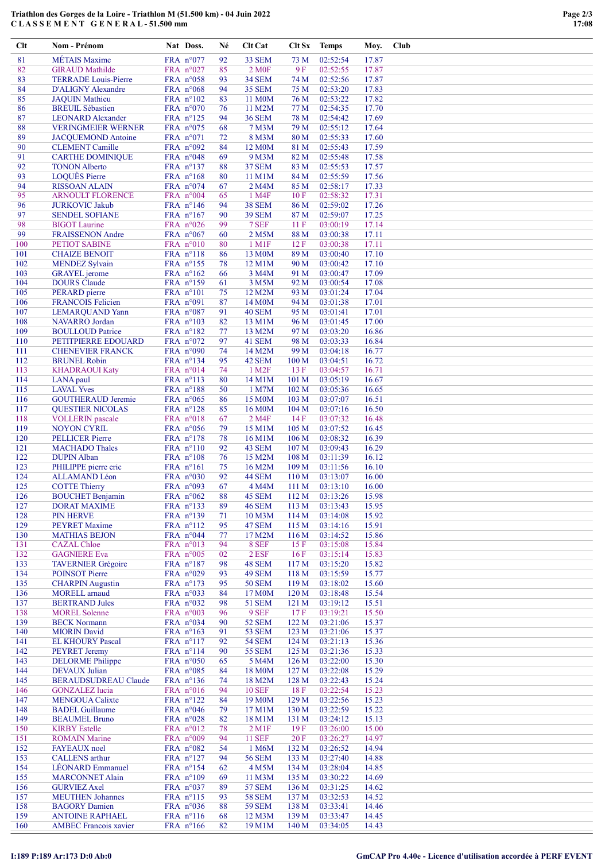## Triathlon des Gorges de la Loire - Triathlon M (51.500 km) - 04 Juin 2022 C L A S S E M E N T G E N E R A L - 51.500 mm

| <b>MÉTAIS</b> Maxime<br>81<br>FRA n°077<br>92<br>33 SEM<br>73 M<br>02:52:54<br>17.87<br>9F<br>02:52:55<br>82<br><b>GIRAUD Mathilde</b><br>FRA n°027<br>85<br>2 M <sub>OF</sub><br>17.87<br>83<br><b>TERRADE</b> Louis-Pierre<br>FRA n°058<br><b>34 SEM</b><br>74 M<br>02:52:56<br>17.87<br>93<br>02:53:20<br>84<br><b>D'ALIGNY Alexandre</b><br>FRA $n°068$<br>94<br><b>35 SEM</b><br>75 M<br>17.83<br>02:53:22<br>85<br>FRA $n^{\circ}102$<br>11 M0M<br>76 M<br>17.82<br><b>JAQUIN</b> Mathieu<br>83<br>86<br><b>BREUIL Sébastien</b><br>FRA n°070<br>11 M2M<br>77 M<br>02:54:35<br>17.70<br>76<br>87<br>78 M<br>02:54:42<br>17.69<br><b>LEONARD Alexander</b><br>FRA nº125<br>94<br><b>36 SEM</b><br>88<br>FRA n°075<br>79 M<br>02:55:12<br>17.64<br><b>VERINGMEIER WERNER</b><br>68<br>7 M3M<br>89<br>FRA $n°071$<br>8 M3M<br>80 M<br>02:55:33<br>17.60<br><b>JACQUEMOND Antoine</b><br>72<br>90<br><b>CLEMENT Camille</b><br>FRA $n°092$<br>12 M0M<br>81 M<br>02:55:43<br>17.59<br>84<br>91<br>02:55:48<br><b>CARTHE DOMINIQUE</b><br>FRA $n°048$<br>9 M3M<br>82 M<br>17.58<br>69<br>92<br>02:55:53<br><b>TONON Alberto</b><br>FRA n°137<br><b>37 SEM</b><br>83 M<br>17.57<br>88<br>93<br><b>LOQUÈS Pierre</b><br>FRA n°168<br>80<br>11 M1M<br>84 M<br>02:55:59<br>17.56<br>94<br><b>RISSOAN ALAIN</b><br>FRA n°074<br>67<br>85 M<br>02:58:17<br>17.33<br>2 M4M<br>95<br><b>ARNOULT FLORENCE</b><br>FRA $n°004$<br>02:58:32<br>17.31<br>65<br>1 M4F<br>10F<br>96<br><b>JURKOVIC Jakub</b><br>FRA n°146<br>94<br><b>38 SEM</b><br>86 M<br>02:59:02<br>17.26<br>02:59:07<br>17.25<br>97<br><b>SENDEL SOFIANE</b><br>FRA n°167<br>90<br><b>39 SEM</b><br>87 M<br>98<br>FRA $n°026$<br>99<br>7 SEF<br>11F<br>03:00:19<br>17.14<br><b>BIGOT</b> Laurine<br>99<br><b>FRAISSENON Andre</b><br>FRA n°067<br>60<br>2 M5M<br>88 M<br>03:00:38<br>17.11<br>100<br>03:00:38<br>17.11<br><b>PETIOT SABINE</b><br>FRA n°010<br>80<br>$1 \text{ M1F}$<br>12F<br><b>CHAIZE BENOIT</b><br>FRA n°118<br>86<br>13 M0M<br>89 M<br>03:00:40<br>17.10<br>101<br>102<br>FRA nº155<br>12 M1M<br>90 M<br>03:00:42<br>17.10<br><b>MENDEZ Sylvain</b><br>78<br>103<br>3 M4M<br>91 M<br>03:00:47<br>17.09<br><b>GRAYEL</b> jerome<br>FRA $n^{\circ}162$<br>66<br>104<br>92 M<br><b>DOURS</b> Claude<br>FRA n°159<br>3 M5M<br>03:00:54<br>17.08<br>61<br>105<br>PERARD pierre<br>FRA n°101<br>75<br>12 M2M<br>93 M<br>03:01:24<br>17.04<br>106<br><b>FRANCOIS Felicien</b><br>FRA n°091<br>87<br>94 M<br>03:01:38<br>17.01<br>14 M <sub>0</sub> M<br>107<br>91<br>40 SEM<br>95 M<br>17.01<br><b>LEMARQUAND Yann</b><br>FRA $n^{\circ}087$<br>03:01:41<br>108<br><b>NAVARRO</b> Jordan<br>FRA n°103<br>82<br>13 M1M<br>96 M<br>03:01:45<br>17.00<br>109<br><b>BOULLOUD Patrice</b><br>FRA n°182<br>13 M2M<br>97 M<br>03:03:20<br>16.86<br>77<br>110<br>FRA $n°072$<br>41 SEM<br>98 M<br>03:03:33<br>16.84<br>PETITPIERRE EDOUARD<br>97<br>99 M<br>111<br><b>CHENEVIER FRANCK</b><br>FRA n°090<br>74<br>14 M2M<br>03:04:18<br>16.77<br>112<br>FRA nº134<br>95<br>42 SEM<br>03:04:51<br>16.72<br><b>BRUNEL Robin</b><br>100 <sub>M</sub><br>113<br>FRA n°014<br>74<br>1 M <sub>2</sub> F<br>03:04:57<br><b>KHADRAOUI Katy</b><br>13F<br>16.71<br>114<br>FRA n°113<br>03:05:19<br>16.67<br>LANA paul<br>80<br>14 M1M<br>101 <sub>M</sub><br>115<br><b>LAVAL Yves</b><br>FRA n°188<br>50<br>1 M7M<br>102 M<br>03:05:36<br>16.65<br>116<br><b>GOUTHERAUD Jeremie</b><br>FRA $n^{\circ}065$<br>15 M0M<br>103 M<br>03:07:07<br>16.51<br>86<br>117<br>FRA nº128<br>16 M0M<br>104 M<br>03:07:16<br>16.50<br><b>QUESTIER NICOLAS</b><br>85<br>118<br>FRA n°018<br>67<br>2 M4F<br>14F<br>03:07:32<br>16.48<br><b>VOLLERIN</b> pascale<br>119<br>FRA n°056<br>79<br>105 M<br>03:07:52<br>16.45<br><b>NOYON CYRIL</b><br>15 M1M<br>120<br><b>PELLICER</b> Pierre<br>FRA $n^{\circ}178$<br>106 M<br>03:08:32<br>16.39<br>78<br>16 M1M<br>121<br><b>MACHADO Thales</b><br>FRA n°110<br>92<br>43 SEM<br>107 M<br>03:09:43<br>16.29<br>122<br><b>DUPIN Alban</b><br>FRA n°108<br>76<br>15 M2M<br>108 M<br>03:11:39<br>16.12<br>123<br>PHILIPPE pierre eric<br>FRA n°161<br>16 M2M<br>109 M<br>03:11:56<br>16.10<br>75<br>124<br><b>ALLAMAND</b> Léon<br>FRA n°030<br>92<br>44 SEM<br>110 M<br>03:13:07<br>16.00<br>125<br><b>COTTE Thierry</b><br>FRA n°093<br>67<br>03:13:10<br>16.00<br>4 M4M<br>111M<br>88<br>15.98<br>126<br><b>BOUCHET Benjamin</b><br>FRA n°062<br>45 SEM<br>112M<br>03:13:26<br>127<br><b>DORAT MAXIME</b><br>FRA nº133<br><b>46 SEM</b><br>113 M<br>03:13:43<br>15.95<br>89<br>128<br><b>PIN HERVE</b><br>FRA nº139<br>10 M3M<br>114 M<br>03:14:08<br>15.92<br>71<br>129<br><b>PEYRET Maxime</b><br>FRA $n^{\circ}112$<br>47 SEM<br>115 M<br>03:14:16<br>15.91<br>95<br>130<br>FRA n°044<br>17 M2M<br>116 M<br>03:14:52<br>15.86<br><b>MATHIAS BEJON</b><br>77<br>15.84<br>131<br><b>CAZAL</b> Chloe<br>FRA n°013<br>94<br>8 SEF<br>15F<br>03:15:08<br>132<br><b>GAGNIERE Eva</b><br>FRA n°005<br>02<br>2 ESF<br>16F<br>03:15:14<br>15.83<br>133<br><b>TAVERNIER Grégoire</b><br>FRA n°187<br>48 SEM<br>03:15:20<br>15.82<br>98<br>117 <sub>M</sub><br>134<br><b>POINSOT Pierre</b><br>FRA $n°029$<br>49 SEM<br>118 M<br>03:15:59<br>15.77<br>93<br>135<br><b>CHARPIN Augustin</b><br>FRA $n^{\circ}173$<br><b>50 SEM</b><br>119 <sub>M</sub><br>03:18:02<br>15.60<br>95<br>136<br><b>MORELL</b> arnaud<br>FRA n°033<br>17 M0M<br>120 M<br>03:18:48<br>15.54<br>84<br>137<br><b>BERTRAND Jules</b><br>FRA n°032<br>03:19:12<br>15.51<br>98<br><b>51 SEM</b><br>121 <sub>M</sub><br>138<br>9 SEF<br>03:19:21<br><b>MOREL Solenne</b><br>FRA $n^{\circ}003$<br>96<br>17 F<br>15.50<br>139<br><b>BECK Normann</b><br>FRA $n°034$<br><b>52 SEM</b><br>122 M<br>03:21:06<br>15.37<br>90<br>140<br><b>MIORIN</b> David<br>FRA $n^{\circ}163$<br><b>53 SEM</b><br>123 M<br>03:21:06<br>15.37<br>91<br><b>EL KHOURY Pascal</b><br>FRA n°117<br><b>54 SEM</b><br>124 M<br>03:21:13<br>15.36<br>141<br>92<br>125 M<br>03:21:36<br>142<br><b>PEYRET Jeremy</b><br>FRA n°114<br><b>55 SEM</b><br>15.33<br>90<br>143<br><b>DELORME Philippe</b><br>FRA n°050<br>126 M<br>03:22:00<br>15.30<br>65<br>5 M4M<br>144<br>FRA $n°085$<br>03:22:08<br><b>DEVAUX</b> Julian<br>84<br>18 M <sub>0</sub> M<br>127 <sub>M</sub><br>15.29<br>145<br><b>BERAUDSUDREAU Claude</b><br>FRA nº136<br>18 M2M<br>03:22:43<br>15.24<br>128 M<br>74<br>03:22:54<br>146<br><b>GONZALEZ</b> lucia<br>FRA $n°016$<br><b>10 SEF</b><br>18F<br>15.23<br>94<br>147<br><b>MENGOUA Calixte</b><br>FRA $n^{\circ}122$<br>19 M <sub>0</sub> M<br>129 M<br>03:22:56<br>15.23<br>84<br>148<br><b>BADEL Guillaume</b><br>FRA n°046<br>17 M1M<br>130 M<br>03:22:59<br>15.22<br>79<br>149<br><b>BEAUMEL Bruno</b><br>FRA $n°028$<br>82<br>03:24:12<br>15.13<br>18 M1M<br>131 M<br>03:26:00<br>15.00<br>150<br><b>KIRBY</b> Estelle<br>FRA $n^{\circ}012$<br>78<br>$2 \,\mathrm{M1F}$<br>19F<br><b>ROMAIN Marine</b><br>FRA n°009<br><b>11 SEF</b><br>20F<br>03:26:27<br>14.97<br>151<br>94<br>152<br><b>FAYEAUX</b> noel<br>1 M6M<br>132 M<br>03:26:52<br>14.94<br>FRA $n^{\circ}082$<br>54<br>153<br><b>CALLENS</b> arthur<br>FRA $n^{\circ}127$<br><b>56 SEM</b><br>133 M<br>03:27:40<br>14.88<br>94<br>154<br><b>LÉONARD</b> Emmanuel<br>FRA nº154<br>4 M5M<br>134 M<br>03:28:04<br>14.85<br>62<br>155<br>FRA n°109<br>11 M3M<br>135 M<br>03:30:22<br>14.69<br><b>MARCONNET Alain</b><br>69<br>156<br><b>GURVIEZ Axel</b><br>FRA $n°037$<br><b>57 SEM</b><br>136 M<br>03:31:25<br>14.62<br>89<br><b>MEUTHEN Johannes</b><br>FRA $n^{\circ}115$<br><b>58 SEM</b><br>03:32:53<br>14.52<br>157<br>93<br>137 <sub>M</sub><br>158<br><b>59 SEM</b><br>138 M<br>03:33:41<br><b>BAGORY</b> Damien<br>FRA $n^{\circ}036$<br>88<br>14.46<br>159<br><b>ANTOINE RAPHAEL</b><br>FRA $n^{\circ}116$<br>12 M3M<br>139 M<br>03:33:47<br>14.45<br>68<br>FRA n°166 | Clt | Nom - Prénom                 | Nat Doss. | Né | Clt Cat | Clt Sx | <b>Temps</b> | Moy.  | Club |
|----------------------------------------------------------------------------------------------------------------------------------------------------------------------------------------------------------------------------------------------------------------------------------------------------------------------------------------------------------------------------------------------------------------------------------------------------------------------------------------------------------------------------------------------------------------------------------------------------------------------------------------------------------------------------------------------------------------------------------------------------------------------------------------------------------------------------------------------------------------------------------------------------------------------------------------------------------------------------------------------------------------------------------------------------------------------------------------------------------------------------------------------------------------------------------------------------------------------------------------------------------------------------------------------------------------------------------------------------------------------------------------------------------------------------------------------------------------------------------------------------------------------------------------------------------------------------------------------------------------------------------------------------------------------------------------------------------------------------------------------------------------------------------------------------------------------------------------------------------------------------------------------------------------------------------------------------------------------------------------------------------------------------------------------------------------------------------------------------------------------------------------------------------------------------------------------------------------------------------------------------------------------------------------------------------------------------------------------------------------------------------------------------------------------------------------------------------------------------------------------------------------------------------------------------------------------------------------------------------------------------------------------------------------------------------------------------------------------------------------------------------------------------------------------------------------------------------------------------------------------------------------------------------------------------------------------------------------------------------------------------------------------------------------------------------------------------------------------------------------------------------------------------------------------------------------------------------------------------------------------------------------------------------------------------------------------------------------------------------------------------------------------------------------------------------------------------------------------------------------------------------------------------------------------------------------------------------------------------------------------------------------------------------------------------------------------------------------------------------------------------------------------------------------------------------------------------------------------------------------------------------------------------------------------------------------------------------------------------------------------------------------------------------------------------------------------------------------------------------------------------------------------------------------------------------------------------------------------------------------------------------------------------------------------------------------------------------------------------------------------------------------------------------------------------------------------------------------------------------------------------------------------------------------------------------------------------------------------------------------------------------------------------------------------------------------------------------------------------------------------------------------------------------------------------------------------------------------------------------------------------------------------------------------------------------------------------------------------------------------------------------------------------------------------------------------------------------------------------------------------------------------------------------------------------------------------------------------------------------------------------------------------------------------------------------------------------------------------------------------------------------------------------------------------------------------------------------------------------------------------------------------------------------------------------------------------------------------------------------------------------------------------------------------------------------------------------------------------------------------------------------------------------------------------------------------------------------------------------------------------------------------------------------------------------------------------------------------------------------------------------------------------------------------------------------------------------------------------------------------------------------------------------------------------------------------------------------------------------------------------------------------------------------------------------------------------------------------------------------------------------------------------------------------------------------------------------------------------------------------------------------------------------------------------------------------------------------------------------------------------------------------------------------------------------------------------------------------------------------------------------------------------------------------------------------------------------------------------------------------------------------------------------------------------------------------------------------------------------------------------------------------------------------------------------------------------------------------------------------------------------------------------------------------------------------------------------------------------------------------------------------------------------------------------------------------------------------------------------------------------------------------------------------------------------------------------------------------------------------------------------------------------------------------------------------------------------------------------------------------------------------------------------------------------------------------------------------------------------------------------------------------------------------------------------------------------------------------------------------------------------------|-----|------------------------------|-----------|----|---------|--------|--------------|-------|------|
|                                                                                                                                                                                                                                                                                                                                                                                                                                                                                                                                                                                                                                                                                                                                                                                                                                                                                                                                                                                                                                                                                                                                                                                                                                                                                                                                                                                                                                                                                                                                                                                                                                                                                                                                                                                                                                                                                                                                                                                                                                                                                                                                                                                                                                                                                                                                                                                                                                                                                                                                                                                                                                                                                                                                                                                                                                                                                                                                                                                                                                                                                                                                                                                                                                                                                                                                                                                                                                                                                                                                                                                                                                                                                                                                                                                                                                                                                                                                                                                                                                                                                                                                                                                                                                                                                                                                                                                                                                                                                                                                                                                                                                                                                                                                                                                                                                                                                                                                                                                                                                                                                                                                                                                                                                                                                                                                                                                                                                                                                                                                                                                                                                                                                                                                                                                                                                                                                                                                                                                                                                                                                                                                                                                                                                                                                                                                                                                                                                                                                                                                                                                                                                                                                                                                                                                                                                                                                                                                                                                                                                                                                                                                                                                                                                                                                                                                                                                                                                                                                                                                                                                                                                                                                                                                                                                                                                                                                  |     |                              |           |    |         |        |              |       |      |
|                                                                                                                                                                                                                                                                                                                                                                                                                                                                                                                                                                                                                                                                                                                                                                                                                                                                                                                                                                                                                                                                                                                                                                                                                                                                                                                                                                                                                                                                                                                                                                                                                                                                                                                                                                                                                                                                                                                                                                                                                                                                                                                                                                                                                                                                                                                                                                                                                                                                                                                                                                                                                                                                                                                                                                                                                                                                                                                                                                                                                                                                                                                                                                                                                                                                                                                                                                                                                                                                                                                                                                                                                                                                                                                                                                                                                                                                                                                                                                                                                                                                                                                                                                                                                                                                                                                                                                                                                                                                                                                                                                                                                                                                                                                                                                                                                                                                                                                                                                                                                                                                                                                                                                                                                                                                                                                                                                                                                                                                                                                                                                                                                                                                                                                                                                                                                                                                                                                                                                                                                                                                                                                                                                                                                                                                                                                                                                                                                                                                                                                                                                                                                                                                                                                                                                                                                                                                                                                                                                                                                                                                                                                                                                                                                                                                                                                                                                                                                                                                                                                                                                                                                                                                                                                                                                                                                                                                                  |     |                              |           |    |         |        |              |       |      |
|                                                                                                                                                                                                                                                                                                                                                                                                                                                                                                                                                                                                                                                                                                                                                                                                                                                                                                                                                                                                                                                                                                                                                                                                                                                                                                                                                                                                                                                                                                                                                                                                                                                                                                                                                                                                                                                                                                                                                                                                                                                                                                                                                                                                                                                                                                                                                                                                                                                                                                                                                                                                                                                                                                                                                                                                                                                                                                                                                                                                                                                                                                                                                                                                                                                                                                                                                                                                                                                                                                                                                                                                                                                                                                                                                                                                                                                                                                                                                                                                                                                                                                                                                                                                                                                                                                                                                                                                                                                                                                                                                                                                                                                                                                                                                                                                                                                                                                                                                                                                                                                                                                                                                                                                                                                                                                                                                                                                                                                                                                                                                                                                                                                                                                                                                                                                                                                                                                                                                                                                                                                                                                                                                                                                                                                                                                                                                                                                                                                                                                                                                                                                                                                                                                                                                                                                                                                                                                                                                                                                                                                                                                                                                                                                                                                                                                                                                                                                                                                                                                                                                                                                                                                                                                                                                                                                                                                                                  |     |                              |           |    |         |        |              |       |      |
|                                                                                                                                                                                                                                                                                                                                                                                                                                                                                                                                                                                                                                                                                                                                                                                                                                                                                                                                                                                                                                                                                                                                                                                                                                                                                                                                                                                                                                                                                                                                                                                                                                                                                                                                                                                                                                                                                                                                                                                                                                                                                                                                                                                                                                                                                                                                                                                                                                                                                                                                                                                                                                                                                                                                                                                                                                                                                                                                                                                                                                                                                                                                                                                                                                                                                                                                                                                                                                                                                                                                                                                                                                                                                                                                                                                                                                                                                                                                                                                                                                                                                                                                                                                                                                                                                                                                                                                                                                                                                                                                                                                                                                                                                                                                                                                                                                                                                                                                                                                                                                                                                                                                                                                                                                                                                                                                                                                                                                                                                                                                                                                                                                                                                                                                                                                                                                                                                                                                                                                                                                                                                                                                                                                                                                                                                                                                                                                                                                                                                                                                                                                                                                                                                                                                                                                                                                                                                                                                                                                                                                                                                                                                                                                                                                                                                                                                                                                                                                                                                                                                                                                                                                                                                                                                                                                                                                                                                  |     |                              |           |    |         |        |              |       |      |
|                                                                                                                                                                                                                                                                                                                                                                                                                                                                                                                                                                                                                                                                                                                                                                                                                                                                                                                                                                                                                                                                                                                                                                                                                                                                                                                                                                                                                                                                                                                                                                                                                                                                                                                                                                                                                                                                                                                                                                                                                                                                                                                                                                                                                                                                                                                                                                                                                                                                                                                                                                                                                                                                                                                                                                                                                                                                                                                                                                                                                                                                                                                                                                                                                                                                                                                                                                                                                                                                                                                                                                                                                                                                                                                                                                                                                                                                                                                                                                                                                                                                                                                                                                                                                                                                                                                                                                                                                                                                                                                                                                                                                                                                                                                                                                                                                                                                                                                                                                                                                                                                                                                                                                                                                                                                                                                                                                                                                                                                                                                                                                                                                                                                                                                                                                                                                                                                                                                                                                                                                                                                                                                                                                                                                                                                                                                                                                                                                                                                                                                                                                                                                                                                                                                                                                                                                                                                                                                                                                                                                                                                                                                                                                                                                                                                                                                                                                                                                                                                                                                                                                                                                                                                                                                                                                                                                                                                                  |     |                              |           |    |         |        |              |       |      |
|                                                                                                                                                                                                                                                                                                                                                                                                                                                                                                                                                                                                                                                                                                                                                                                                                                                                                                                                                                                                                                                                                                                                                                                                                                                                                                                                                                                                                                                                                                                                                                                                                                                                                                                                                                                                                                                                                                                                                                                                                                                                                                                                                                                                                                                                                                                                                                                                                                                                                                                                                                                                                                                                                                                                                                                                                                                                                                                                                                                                                                                                                                                                                                                                                                                                                                                                                                                                                                                                                                                                                                                                                                                                                                                                                                                                                                                                                                                                                                                                                                                                                                                                                                                                                                                                                                                                                                                                                                                                                                                                                                                                                                                                                                                                                                                                                                                                                                                                                                                                                                                                                                                                                                                                                                                                                                                                                                                                                                                                                                                                                                                                                                                                                                                                                                                                                                                                                                                                                                                                                                                                                                                                                                                                                                                                                                                                                                                                                                                                                                                                                                                                                                                                                                                                                                                                                                                                                                                                                                                                                                                                                                                                                                                                                                                                                                                                                                                                                                                                                                                                                                                                                                                                                                                                                                                                                                                                                  |     |                              |           |    |         |        |              |       |      |
|                                                                                                                                                                                                                                                                                                                                                                                                                                                                                                                                                                                                                                                                                                                                                                                                                                                                                                                                                                                                                                                                                                                                                                                                                                                                                                                                                                                                                                                                                                                                                                                                                                                                                                                                                                                                                                                                                                                                                                                                                                                                                                                                                                                                                                                                                                                                                                                                                                                                                                                                                                                                                                                                                                                                                                                                                                                                                                                                                                                                                                                                                                                                                                                                                                                                                                                                                                                                                                                                                                                                                                                                                                                                                                                                                                                                                                                                                                                                                                                                                                                                                                                                                                                                                                                                                                                                                                                                                                                                                                                                                                                                                                                                                                                                                                                                                                                                                                                                                                                                                                                                                                                                                                                                                                                                                                                                                                                                                                                                                                                                                                                                                                                                                                                                                                                                                                                                                                                                                                                                                                                                                                                                                                                                                                                                                                                                                                                                                                                                                                                                                                                                                                                                                                                                                                                                                                                                                                                                                                                                                                                                                                                                                                                                                                                                                                                                                                                                                                                                                                                                                                                                                                                                                                                                                                                                                                                                                  |     |                              |           |    |         |        |              |       |      |
|                                                                                                                                                                                                                                                                                                                                                                                                                                                                                                                                                                                                                                                                                                                                                                                                                                                                                                                                                                                                                                                                                                                                                                                                                                                                                                                                                                                                                                                                                                                                                                                                                                                                                                                                                                                                                                                                                                                                                                                                                                                                                                                                                                                                                                                                                                                                                                                                                                                                                                                                                                                                                                                                                                                                                                                                                                                                                                                                                                                                                                                                                                                                                                                                                                                                                                                                                                                                                                                                                                                                                                                                                                                                                                                                                                                                                                                                                                                                                                                                                                                                                                                                                                                                                                                                                                                                                                                                                                                                                                                                                                                                                                                                                                                                                                                                                                                                                                                                                                                                                                                                                                                                                                                                                                                                                                                                                                                                                                                                                                                                                                                                                                                                                                                                                                                                                                                                                                                                                                                                                                                                                                                                                                                                                                                                                                                                                                                                                                                                                                                                                                                                                                                                                                                                                                                                                                                                                                                                                                                                                                                                                                                                                                                                                                                                                                                                                                                                                                                                                                                                                                                                                                                                                                                                                                                                                                                                                  |     |                              |           |    |         |        |              |       |      |
|                                                                                                                                                                                                                                                                                                                                                                                                                                                                                                                                                                                                                                                                                                                                                                                                                                                                                                                                                                                                                                                                                                                                                                                                                                                                                                                                                                                                                                                                                                                                                                                                                                                                                                                                                                                                                                                                                                                                                                                                                                                                                                                                                                                                                                                                                                                                                                                                                                                                                                                                                                                                                                                                                                                                                                                                                                                                                                                                                                                                                                                                                                                                                                                                                                                                                                                                                                                                                                                                                                                                                                                                                                                                                                                                                                                                                                                                                                                                                                                                                                                                                                                                                                                                                                                                                                                                                                                                                                                                                                                                                                                                                                                                                                                                                                                                                                                                                                                                                                                                                                                                                                                                                                                                                                                                                                                                                                                                                                                                                                                                                                                                                                                                                                                                                                                                                                                                                                                                                                                                                                                                                                                                                                                                                                                                                                                                                                                                                                                                                                                                                                                                                                                                                                                                                                                                                                                                                                                                                                                                                                                                                                                                                                                                                                                                                                                                                                                                                                                                                                                                                                                                                                                                                                                                                                                                                                                                                  |     |                              |           |    |         |        |              |       |      |
|                                                                                                                                                                                                                                                                                                                                                                                                                                                                                                                                                                                                                                                                                                                                                                                                                                                                                                                                                                                                                                                                                                                                                                                                                                                                                                                                                                                                                                                                                                                                                                                                                                                                                                                                                                                                                                                                                                                                                                                                                                                                                                                                                                                                                                                                                                                                                                                                                                                                                                                                                                                                                                                                                                                                                                                                                                                                                                                                                                                                                                                                                                                                                                                                                                                                                                                                                                                                                                                                                                                                                                                                                                                                                                                                                                                                                                                                                                                                                                                                                                                                                                                                                                                                                                                                                                                                                                                                                                                                                                                                                                                                                                                                                                                                                                                                                                                                                                                                                                                                                                                                                                                                                                                                                                                                                                                                                                                                                                                                                                                                                                                                                                                                                                                                                                                                                                                                                                                                                                                                                                                                                                                                                                                                                                                                                                                                                                                                                                                                                                                                                                                                                                                                                                                                                                                                                                                                                                                                                                                                                                                                                                                                                                                                                                                                                                                                                                                                                                                                                                                                                                                                                                                                                                                                                                                                                                                                                  |     |                              |           |    |         |        |              |       |      |
|                                                                                                                                                                                                                                                                                                                                                                                                                                                                                                                                                                                                                                                                                                                                                                                                                                                                                                                                                                                                                                                                                                                                                                                                                                                                                                                                                                                                                                                                                                                                                                                                                                                                                                                                                                                                                                                                                                                                                                                                                                                                                                                                                                                                                                                                                                                                                                                                                                                                                                                                                                                                                                                                                                                                                                                                                                                                                                                                                                                                                                                                                                                                                                                                                                                                                                                                                                                                                                                                                                                                                                                                                                                                                                                                                                                                                                                                                                                                                                                                                                                                                                                                                                                                                                                                                                                                                                                                                                                                                                                                                                                                                                                                                                                                                                                                                                                                                                                                                                                                                                                                                                                                                                                                                                                                                                                                                                                                                                                                                                                                                                                                                                                                                                                                                                                                                                                                                                                                                                                                                                                                                                                                                                                                                                                                                                                                                                                                                                                                                                                                                                                                                                                                                                                                                                                                                                                                                                                                                                                                                                                                                                                                                                                                                                                                                                                                                                                                                                                                                                                                                                                                                                                                                                                                                                                                                                                                                  |     |                              |           |    |         |        |              |       |      |
|                                                                                                                                                                                                                                                                                                                                                                                                                                                                                                                                                                                                                                                                                                                                                                                                                                                                                                                                                                                                                                                                                                                                                                                                                                                                                                                                                                                                                                                                                                                                                                                                                                                                                                                                                                                                                                                                                                                                                                                                                                                                                                                                                                                                                                                                                                                                                                                                                                                                                                                                                                                                                                                                                                                                                                                                                                                                                                                                                                                                                                                                                                                                                                                                                                                                                                                                                                                                                                                                                                                                                                                                                                                                                                                                                                                                                                                                                                                                                                                                                                                                                                                                                                                                                                                                                                                                                                                                                                                                                                                                                                                                                                                                                                                                                                                                                                                                                                                                                                                                                                                                                                                                                                                                                                                                                                                                                                                                                                                                                                                                                                                                                                                                                                                                                                                                                                                                                                                                                                                                                                                                                                                                                                                                                                                                                                                                                                                                                                                                                                                                                                                                                                                                                                                                                                                                                                                                                                                                                                                                                                                                                                                                                                                                                                                                                                                                                                                                                                                                                                                                                                                                                                                                                                                                                                                                                                                                                  |     |                              |           |    |         |        |              |       |      |
|                                                                                                                                                                                                                                                                                                                                                                                                                                                                                                                                                                                                                                                                                                                                                                                                                                                                                                                                                                                                                                                                                                                                                                                                                                                                                                                                                                                                                                                                                                                                                                                                                                                                                                                                                                                                                                                                                                                                                                                                                                                                                                                                                                                                                                                                                                                                                                                                                                                                                                                                                                                                                                                                                                                                                                                                                                                                                                                                                                                                                                                                                                                                                                                                                                                                                                                                                                                                                                                                                                                                                                                                                                                                                                                                                                                                                                                                                                                                                                                                                                                                                                                                                                                                                                                                                                                                                                                                                                                                                                                                                                                                                                                                                                                                                                                                                                                                                                                                                                                                                                                                                                                                                                                                                                                                                                                                                                                                                                                                                                                                                                                                                                                                                                                                                                                                                                                                                                                                                                                                                                                                                                                                                                                                                                                                                                                                                                                                                                                                                                                                                                                                                                                                                                                                                                                                                                                                                                                                                                                                                                                                                                                                                                                                                                                                                                                                                                                                                                                                                                                                                                                                                                                                                                                                                                                                                                                                                  |     |                              |           |    |         |        |              |       |      |
|                                                                                                                                                                                                                                                                                                                                                                                                                                                                                                                                                                                                                                                                                                                                                                                                                                                                                                                                                                                                                                                                                                                                                                                                                                                                                                                                                                                                                                                                                                                                                                                                                                                                                                                                                                                                                                                                                                                                                                                                                                                                                                                                                                                                                                                                                                                                                                                                                                                                                                                                                                                                                                                                                                                                                                                                                                                                                                                                                                                                                                                                                                                                                                                                                                                                                                                                                                                                                                                                                                                                                                                                                                                                                                                                                                                                                                                                                                                                                                                                                                                                                                                                                                                                                                                                                                                                                                                                                                                                                                                                                                                                                                                                                                                                                                                                                                                                                                                                                                                                                                                                                                                                                                                                                                                                                                                                                                                                                                                                                                                                                                                                                                                                                                                                                                                                                                                                                                                                                                                                                                                                                                                                                                                                                                                                                                                                                                                                                                                                                                                                                                                                                                                                                                                                                                                                                                                                                                                                                                                                                                                                                                                                                                                                                                                                                                                                                                                                                                                                                                                                                                                                                                                                                                                                                                                                                                                                                  |     |                              |           |    |         |        |              |       |      |
|                                                                                                                                                                                                                                                                                                                                                                                                                                                                                                                                                                                                                                                                                                                                                                                                                                                                                                                                                                                                                                                                                                                                                                                                                                                                                                                                                                                                                                                                                                                                                                                                                                                                                                                                                                                                                                                                                                                                                                                                                                                                                                                                                                                                                                                                                                                                                                                                                                                                                                                                                                                                                                                                                                                                                                                                                                                                                                                                                                                                                                                                                                                                                                                                                                                                                                                                                                                                                                                                                                                                                                                                                                                                                                                                                                                                                                                                                                                                                                                                                                                                                                                                                                                                                                                                                                                                                                                                                                                                                                                                                                                                                                                                                                                                                                                                                                                                                                                                                                                                                                                                                                                                                                                                                                                                                                                                                                                                                                                                                                                                                                                                                                                                                                                                                                                                                                                                                                                                                                                                                                                                                                                                                                                                                                                                                                                                                                                                                                                                                                                                                                                                                                                                                                                                                                                                                                                                                                                                                                                                                                                                                                                                                                                                                                                                                                                                                                                                                                                                                                                                                                                                                                                                                                                                                                                                                                                                                  |     |                              |           |    |         |        |              |       |      |
|                                                                                                                                                                                                                                                                                                                                                                                                                                                                                                                                                                                                                                                                                                                                                                                                                                                                                                                                                                                                                                                                                                                                                                                                                                                                                                                                                                                                                                                                                                                                                                                                                                                                                                                                                                                                                                                                                                                                                                                                                                                                                                                                                                                                                                                                                                                                                                                                                                                                                                                                                                                                                                                                                                                                                                                                                                                                                                                                                                                                                                                                                                                                                                                                                                                                                                                                                                                                                                                                                                                                                                                                                                                                                                                                                                                                                                                                                                                                                                                                                                                                                                                                                                                                                                                                                                                                                                                                                                                                                                                                                                                                                                                                                                                                                                                                                                                                                                                                                                                                                                                                                                                                                                                                                                                                                                                                                                                                                                                                                                                                                                                                                                                                                                                                                                                                                                                                                                                                                                                                                                                                                                                                                                                                                                                                                                                                                                                                                                                                                                                                                                                                                                                                                                                                                                                                                                                                                                                                                                                                                                                                                                                                                                                                                                                                                                                                                                                                                                                                                                                                                                                                                                                                                                                                                                                                                                                                                  |     |                              |           |    |         |        |              |       |      |
|                                                                                                                                                                                                                                                                                                                                                                                                                                                                                                                                                                                                                                                                                                                                                                                                                                                                                                                                                                                                                                                                                                                                                                                                                                                                                                                                                                                                                                                                                                                                                                                                                                                                                                                                                                                                                                                                                                                                                                                                                                                                                                                                                                                                                                                                                                                                                                                                                                                                                                                                                                                                                                                                                                                                                                                                                                                                                                                                                                                                                                                                                                                                                                                                                                                                                                                                                                                                                                                                                                                                                                                                                                                                                                                                                                                                                                                                                                                                                                                                                                                                                                                                                                                                                                                                                                                                                                                                                                                                                                                                                                                                                                                                                                                                                                                                                                                                                                                                                                                                                                                                                                                                                                                                                                                                                                                                                                                                                                                                                                                                                                                                                                                                                                                                                                                                                                                                                                                                                                                                                                                                                                                                                                                                                                                                                                                                                                                                                                                                                                                                                                                                                                                                                                                                                                                                                                                                                                                                                                                                                                                                                                                                                                                                                                                                                                                                                                                                                                                                                                                                                                                                                                                                                                                                                                                                                                                                                  |     |                              |           |    |         |        |              |       |      |
|                                                                                                                                                                                                                                                                                                                                                                                                                                                                                                                                                                                                                                                                                                                                                                                                                                                                                                                                                                                                                                                                                                                                                                                                                                                                                                                                                                                                                                                                                                                                                                                                                                                                                                                                                                                                                                                                                                                                                                                                                                                                                                                                                                                                                                                                                                                                                                                                                                                                                                                                                                                                                                                                                                                                                                                                                                                                                                                                                                                                                                                                                                                                                                                                                                                                                                                                                                                                                                                                                                                                                                                                                                                                                                                                                                                                                                                                                                                                                                                                                                                                                                                                                                                                                                                                                                                                                                                                                                                                                                                                                                                                                                                                                                                                                                                                                                                                                                                                                                                                                                                                                                                                                                                                                                                                                                                                                                                                                                                                                                                                                                                                                                                                                                                                                                                                                                                                                                                                                                                                                                                                                                                                                                                                                                                                                                                                                                                                                                                                                                                                                                                                                                                                                                                                                                                                                                                                                                                                                                                                                                                                                                                                                                                                                                                                                                                                                                                                                                                                                                                                                                                                                                                                                                                                                                                                                                                                                  |     |                              |           |    |         |        |              |       |      |
|                                                                                                                                                                                                                                                                                                                                                                                                                                                                                                                                                                                                                                                                                                                                                                                                                                                                                                                                                                                                                                                                                                                                                                                                                                                                                                                                                                                                                                                                                                                                                                                                                                                                                                                                                                                                                                                                                                                                                                                                                                                                                                                                                                                                                                                                                                                                                                                                                                                                                                                                                                                                                                                                                                                                                                                                                                                                                                                                                                                                                                                                                                                                                                                                                                                                                                                                                                                                                                                                                                                                                                                                                                                                                                                                                                                                                                                                                                                                                                                                                                                                                                                                                                                                                                                                                                                                                                                                                                                                                                                                                                                                                                                                                                                                                                                                                                                                                                                                                                                                                                                                                                                                                                                                                                                                                                                                                                                                                                                                                                                                                                                                                                                                                                                                                                                                                                                                                                                                                                                                                                                                                                                                                                                                                                                                                                                                                                                                                                                                                                                                                                                                                                                                                                                                                                                                                                                                                                                                                                                                                                                                                                                                                                                                                                                                                                                                                                                                                                                                                                                                                                                                                                                                                                                                                                                                                                                                                  |     |                              |           |    |         |        |              |       |      |
|                                                                                                                                                                                                                                                                                                                                                                                                                                                                                                                                                                                                                                                                                                                                                                                                                                                                                                                                                                                                                                                                                                                                                                                                                                                                                                                                                                                                                                                                                                                                                                                                                                                                                                                                                                                                                                                                                                                                                                                                                                                                                                                                                                                                                                                                                                                                                                                                                                                                                                                                                                                                                                                                                                                                                                                                                                                                                                                                                                                                                                                                                                                                                                                                                                                                                                                                                                                                                                                                                                                                                                                                                                                                                                                                                                                                                                                                                                                                                                                                                                                                                                                                                                                                                                                                                                                                                                                                                                                                                                                                                                                                                                                                                                                                                                                                                                                                                                                                                                                                                                                                                                                                                                                                                                                                                                                                                                                                                                                                                                                                                                                                                                                                                                                                                                                                                                                                                                                                                                                                                                                                                                                                                                                                                                                                                                                                                                                                                                                                                                                                                                                                                                                                                                                                                                                                                                                                                                                                                                                                                                                                                                                                                                                                                                                                                                                                                                                                                                                                                                                                                                                                                                                                                                                                                                                                                                                                                  |     |                              |           |    |         |        |              |       |      |
|                                                                                                                                                                                                                                                                                                                                                                                                                                                                                                                                                                                                                                                                                                                                                                                                                                                                                                                                                                                                                                                                                                                                                                                                                                                                                                                                                                                                                                                                                                                                                                                                                                                                                                                                                                                                                                                                                                                                                                                                                                                                                                                                                                                                                                                                                                                                                                                                                                                                                                                                                                                                                                                                                                                                                                                                                                                                                                                                                                                                                                                                                                                                                                                                                                                                                                                                                                                                                                                                                                                                                                                                                                                                                                                                                                                                                                                                                                                                                                                                                                                                                                                                                                                                                                                                                                                                                                                                                                                                                                                                                                                                                                                                                                                                                                                                                                                                                                                                                                                                                                                                                                                                                                                                                                                                                                                                                                                                                                                                                                                                                                                                                                                                                                                                                                                                                                                                                                                                                                                                                                                                                                                                                                                                                                                                                                                                                                                                                                                                                                                                                                                                                                                                                                                                                                                                                                                                                                                                                                                                                                                                                                                                                                                                                                                                                                                                                                                                                                                                                                                                                                                                                                                                                                                                                                                                                                                                                  |     |                              |           |    |         |        |              |       |      |
|                                                                                                                                                                                                                                                                                                                                                                                                                                                                                                                                                                                                                                                                                                                                                                                                                                                                                                                                                                                                                                                                                                                                                                                                                                                                                                                                                                                                                                                                                                                                                                                                                                                                                                                                                                                                                                                                                                                                                                                                                                                                                                                                                                                                                                                                                                                                                                                                                                                                                                                                                                                                                                                                                                                                                                                                                                                                                                                                                                                                                                                                                                                                                                                                                                                                                                                                                                                                                                                                                                                                                                                                                                                                                                                                                                                                                                                                                                                                                                                                                                                                                                                                                                                                                                                                                                                                                                                                                                                                                                                                                                                                                                                                                                                                                                                                                                                                                                                                                                                                                                                                                                                                                                                                                                                                                                                                                                                                                                                                                                                                                                                                                                                                                                                                                                                                                                                                                                                                                                                                                                                                                                                                                                                                                                                                                                                                                                                                                                                                                                                                                                                                                                                                                                                                                                                                                                                                                                                                                                                                                                                                                                                                                                                                                                                                                                                                                                                                                                                                                                                                                                                                                                                                                                                                                                                                                                                                                  |     |                              |           |    |         |        |              |       |      |
|                                                                                                                                                                                                                                                                                                                                                                                                                                                                                                                                                                                                                                                                                                                                                                                                                                                                                                                                                                                                                                                                                                                                                                                                                                                                                                                                                                                                                                                                                                                                                                                                                                                                                                                                                                                                                                                                                                                                                                                                                                                                                                                                                                                                                                                                                                                                                                                                                                                                                                                                                                                                                                                                                                                                                                                                                                                                                                                                                                                                                                                                                                                                                                                                                                                                                                                                                                                                                                                                                                                                                                                                                                                                                                                                                                                                                                                                                                                                                                                                                                                                                                                                                                                                                                                                                                                                                                                                                                                                                                                                                                                                                                                                                                                                                                                                                                                                                                                                                                                                                                                                                                                                                                                                                                                                                                                                                                                                                                                                                                                                                                                                                                                                                                                                                                                                                                                                                                                                                                                                                                                                                                                                                                                                                                                                                                                                                                                                                                                                                                                                                                                                                                                                                                                                                                                                                                                                                                                                                                                                                                                                                                                                                                                                                                                                                                                                                                                                                                                                                                                                                                                                                                                                                                                                                                                                                                                                                  |     |                              |           |    |         |        |              |       |      |
|                                                                                                                                                                                                                                                                                                                                                                                                                                                                                                                                                                                                                                                                                                                                                                                                                                                                                                                                                                                                                                                                                                                                                                                                                                                                                                                                                                                                                                                                                                                                                                                                                                                                                                                                                                                                                                                                                                                                                                                                                                                                                                                                                                                                                                                                                                                                                                                                                                                                                                                                                                                                                                                                                                                                                                                                                                                                                                                                                                                                                                                                                                                                                                                                                                                                                                                                                                                                                                                                                                                                                                                                                                                                                                                                                                                                                                                                                                                                                                                                                                                                                                                                                                                                                                                                                                                                                                                                                                                                                                                                                                                                                                                                                                                                                                                                                                                                                                                                                                                                                                                                                                                                                                                                                                                                                                                                                                                                                                                                                                                                                                                                                                                                                                                                                                                                                                                                                                                                                                                                                                                                                                                                                                                                                                                                                                                                                                                                                                                                                                                                                                                                                                                                                                                                                                                                                                                                                                                                                                                                                                                                                                                                                                                                                                                                                                                                                                                                                                                                                                                                                                                                                                                                                                                                                                                                                                                                                  |     |                              |           |    |         |        |              |       |      |
|                                                                                                                                                                                                                                                                                                                                                                                                                                                                                                                                                                                                                                                                                                                                                                                                                                                                                                                                                                                                                                                                                                                                                                                                                                                                                                                                                                                                                                                                                                                                                                                                                                                                                                                                                                                                                                                                                                                                                                                                                                                                                                                                                                                                                                                                                                                                                                                                                                                                                                                                                                                                                                                                                                                                                                                                                                                                                                                                                                                                                                                                                                                                                                                                                                                                                                                                                                                                                                                                                                                                                                                                                                                                                                                                                                                                                                                                                                                                                                                                                                                                                                                                                                                                                                                                                                                                                                                                                                                                                                                                                                                                                                                                                                                                                                                                                                                                                                                                                                                                                                                                                                                                                                                                                                                                                                                                                                                                                                                                                                                                                                                                                                                                                                                                                                                                                                                                                                                                                                                                                                                                                                                                                                                                                                                                                                                                                                                                                                                                                                                                                                                                                                                                                                                                                                                                                                                                                                                                                                                                                                                                                                                                                                                                                                                                                                                                                                                                                                                                                                                                                                                                                                                                                                                                                                                                                                                                                  |     |                              |           |    |         |        |              |       |      |
|                                                                                                                                                                                                                                                                                                                                                                                                                                                                                                                                                                                                                                                                                                                                                                                                                                                                                                                                                                                                                                                                                                                                                                                                                                                                                                                                                                                                                                                                                                                                                                                                                                                                                                                                                                                                                                                                                                                                                                                                                                                                                                                                                                                                                                                                                                                                                                                                                                                                                                                                                                                                                                                                                                                                                                                                                                                                                                                                                                                                                                                                                                                                                                                                                                                                                                                                                                                                                                                                                                                                                                                                                                                                                                                                                                                                                                                                                                                                                                                                                                                                                                                                                                                                                                                                                                                                                                                                                                                                                                                                                                                                                                                                                                                                                                                                                                                                                                                                                                                                                                                                                                                                                                                                                                                                                                                                                                                                                                                                                                                                                                                                                                                                                                                                                                                                                                                                                                                                                                                                                                                                                                                                                                                                                                                                                                                                                                                                                                                                                                                                                                                                                                                                                                                                                                                                                                                                                                                                                                                                                                                                                                                                                                                                                                                                                                                                                                                                                                                                                                                                                                                                                                                                                                                                                                                                                                                                                  |     |                              |           |    |         |        |              |       |      |
|                                                                                                                                                                                                                                                                                                                                                                                                                                                                                                                                                                                                                                                                                                                                                                                                                                                                                                                                                                                                                                                                                                                                                                                                                                                                                                                                                                                                                                                                                                                                                                                                                                                                                                                                                                                                                                                                                                                                                                                                                                                                                                                                                                                                                                                                                                                                                                                                                                                                                                                                                                                                                                                                                                                                                                                                                                                                                                                                                                                                                                                                                                                                                                                                                                                                                                                                                                                                                                                                                                                                                                                                                                                                                                                                                                                                                                                                                                                                                                                                                                                                                                                                                                                                                                                                                                                                                                                                                                                                                                                                                                                                                                                                                                                                                                                                                                                                                                                                                                                                                                                                                                                                                                                                                                                                                                                                                                                                                                                                                                                                                                                                                                                                                                                                                                                                                                                                                                                                                                                                                                                                                                                                                                                                                                                                                                                                                                                                                                                                                                                                                                                                                                                                                                                                                                                                                                                                                                                                                                                                                                                                                                                                                                                                                                                                                                                                                                                                                                                                                                                                                                                                                                                                                                                                                                                                                                                                                  |     |                              |           |    |         |        |              |       |      |
|                                                                                                                                                                                                                                                                                                                                                                                                                                                                                                                                                                                                                                                                                                                                                                                                                                                                                                                                                                                                                                                                                                                                                                                                                                                                                                                                                                                                                                                                                                                                                                                                                                                                                                                                                                                                                                                                                                                                                                                                                                                                                                                                                                                                                                                                                                                                                                                                                                                                                                                                                                                                                                                                                                                                                                                                                                                                                                                                                                                                                                                                                                                                                                                                                                                                                                                                                                                                                                                                                                                                                                                                                                                                                                                                                                                                                                                                                                                                                                                                                                                                                                                                                                                                                                                                                                                                                                                                                                                                                                                                                                                                                                                                                                                                                                                                                                                                                                                                                                                                                                                                                                                                                                                                                                                                                                                                                                                                                                                                                                                                                                                                                                                                                                                                                                                                                                                                                                                                                                                                                                                                                                                                                                                                                                                                                                                                                                                                                                                                                                                                                                                                                                                                                                                                                                                                                                                                                                                                                                                                                                                                                                                                                                                                                                                                                                                                                                                                                                                                                                                                                                                                                                                                                                                                                                                                                                                                                  |     |                              |           |    |         |        |              |       |      |
|                                                                                                                                                                                                                                                                                                                                                                                                                                                                                                                                                                                                                                                                                                                                                                                                                                                                                                                                                                                                                                                                                                                                                                                                                                                                                                                                                                                                                                                                                                                                                                                                                                                                                                                                                                                                                                                                                                                                                                                                                                                                                                                                                                                                                                                                                                                                                                                                                                                                                                                                                                                                                                                                                                                                                                                                                                                                                                                                                                                                                                                                                                                                                                                                                                                                                                                                                                                                                                                                                                                                                                                                                                                                                                                                                                                                                                                                                                                                                                                                                                                                                                                                                                                                                                                                                                                                                                                                                                                                                                                                                                                                                                                                                                                                                                                                                                                                                                                                                                                                                                                                                                                                                                                                                                                                                                                                                                                                                                                                                                                                                                                                                                                                                                                                                                                                                                                                                                                                                                                                                                                                                                                                                                                                                                                                                                                                                                                                                                                                                                                                                                                                                                                                                                                                                                                                                                                                                                                                                                                                                                                                                                                                                                                                                                                                                                                                                                                                                                                                                                                                                                                                                                                                                                                                                                                                                                                                                  |     |                              |           |    |         |        |              |       |      |
|                                                                                                                                                                                                                                                                                                                                                                                                                                                                                                                                                                                                                                                                                                                                                                                                                                                                                                                                                                                                                                                                                                                                                                                                                                                                                                                                                                                                                                                                                                                                                                                                                                                                                                                                                                                                                                                                                                                                                                                                                                                                                                                                                                                                                                                                                                                                                                                                                                                                                                                                                                                                                                                                                                                                                                                                                                                                                                                                                                                                                                                                                                                                                                                                                                                                                                                                                                                                                                                                                                                                                                                                                                                                                                                                                                                                                                                                                                                                                                                                                                                                                                                                                                                                                                                                                                                                                                                                                                                                                                                                                                                                                                                                                                                                                                                                                                                                                                                                                                                                                                                                                                                                                                                                                                                                                                                                                                                                                                                                                                                                                                                                                                                                                                                                                                                                                                                                                                                                                                                                                                                                                                                                                                                                                                                                                                                                                                                                                                                                                                                                                                                                                                                                                                                                                                                                                                                                                                                                                                                                                                                                                                                                                                                                                                                                                                                                                                                                                                                                                                                                                                                                                                                                                                                                                                                                                                                                                  |     |                              |           |    |         |        |              |       |      |
|                                                                                                                                                                                                                                                                                                                                                                                                                                                                                                                                                                                                                                                                                                                                                                                                                                                                                                                                                                                                                                                                                                                                                                                                                                                                                                                                                                                                                                                                                                                                                                                                                                                                                                                                                                                                                                                                                                                                                                                                                                                                                                                                                                                                                                                                                                                                                                                                                                                                                                                                                                                                                                                                                                                                                                                                                                                                                                                                                                                                                                                                                                                                                                                                                                                                                                                                                                                                                                                                                                                                                                                                                                                                                                                                                                                                                                                                                                                                                                                                                                                                                                                                                                                                                                                                                                                                                                                                                                                                                                                                                                                                                                                                                                                                                                                                                                                                                                                                                                                                                                                                                                                                                                                                                                                                                                                                                                                                                                                                                                                                                                                                                                                                                                                                                                                                                                                                                                                                                                                                                                                                                                                                                                                                                                                                                                                                                                                                                                                                                                                                                                                                                                                                                                                                                                                                                                                                                                                                                                                                                                                                                                                                                                                                                                                                                                                                                                                                                                                                                                                                                                                                                                                                                                                                                                                                                                                                                  |     |                              |           |    |         |        |              |       |      |
|                                                                                                                                                                                                                                                                                                                                                                                                                                                                                                                                                                                                                                                                                                                                                                                                                                                                                                                                                                                                                                                                                                                                                                                                                                                                                                                                                                                                                                                                                                                                                                                                                                                                                                                                                                                                                                                                                                                                                                                                                                                                                                                                                                                                                                                                                                                                                                                                                                                                                                                                                                                                                                                                                                                                                                                                                                                                                                                                                                                                                                                                                                                                                                                                                                                                                                                                                                                                                                                                                                                                                                                                                                                                                                                                                                                                                                                                                                                                                                                                                                                                                                                                                                                                                                                                                                                                                                                                                                                                                                                                                                                                                                                                                                                                                                                                                                                                                                                                                                                                                                                                                                                                                                                                                                                                                                                                                                                                                                                                                                                                                                                                                                                                                                                                                                                                                                                                                                                                                                                                                                                                                                                                                                                                                                                                                                                                                                                                                                                                                                                                                                                                                                                                                                                                                                                                                                                                                                                                                                                                                                                                                                                                                                                                                                                                                                                                                                                                                                                                                                                                                                                                                                                                                                                                                                                                                                                                                  |     |                              |           |    |         |        |              |       |      |
|                                                                                                                                                                                                                                                                                                                                                                                                                                                                                                                                                                                                                                                                                                                                                                                                                                                                                                                                                                                                                                                                                                                                                                                                                                                                                                                                                                                                                                                                                                                                                                                                                                                                                                                                                                                                                                                                                                                                                                                                                                                                                                                                                                                                                                                                                                                                                                                                                                                                                                                                                                                                                                                                                                                                                                                                                                                                                                                                                                                                                                                                                                                                                                                                                                                                                                                                                                                                                                                                                                                                                                                                                                                                                                                                                                                                                                                                                                                                                                                                                                                                                                                                                                                                                                                                                                                                                                                                                                                                                                                                                                                                                                                                                                                                                                                                                                                                                                                                                                                                                                                                                                                                                                                                                                                                                                                                                                                                                                                                                                                                                                                                                                                                                                                                                                                                                                                                                                                                                                                                                                                                                                                                                                                                                                                                                                                                                                                                                                                                                                                                                                                                                                                                                                                                                                                                                                                                                                                                                                                                                                                                                                                                                                                                                                                                                                                                                                                                                                                                                                                                                                                                                                                                                                                                                                                                                                                                                  |     |                              |           |    |         |        |              |       |      |
|                                                                                                                                                                                                                                                                                                                                                                                                                                                                                                                                                                                                                                                                                                                                                                                                                                                                                                                                                                                                                                                                                                                                                                                                                                                                                                                                                                                                                                                                                                                                                                                                                                                                                                                                                                                                                                                                                                                                                                                                                                                                                                                                                                                                                                                                                                                                                                                                                                                                                                                                                                                                                                                                                                                                                                                                                                                                                                                                                                                                                                                                                                                                                                                                                                                                                                                                                                                                                                                                                                                                                                                                                                                                                                                                                                                                                                                                                                                                                                                                                                                                                                                                                                                                                                                                                                                                                                                                                                                                                                                                                                                                                                                                                                                                                                                                                                                                                                                                                                                                                                                                                                                                                                                                                                                                                                                                                                                                                                                                                                                                                                                                                                                                                                                                                                                                                                                                                                                                                                                                                                                                                                                                                                                                                                                                                                                                                                                                                                                                                                                                                                                                                                                                                                                                                                                                                                                                                                                                                                                                                                                                                                                                                                                                                                                                                                                                                                                                                                                                                                                                                                                                                                                                                                                                                                                                                                                                                  |     |                              |           |    |         |        |              |       |      |
|                                                                                                                                                                                                                                                                                                                                                                                                                                                                                                                                                                                                                                                                                                                                                                                                                                                                                                                                                                                                                                                                                                                                                                                                                                                                                                                                                                                                                                                                                                                                                                                                                                                                                                                                                                                                                                                                                                                                                                                                                                                                                                                                                                                                                                                                                                                                                                                                                                                                                                                                                                                                                                                                                                                                                                                                                                                                                                                                                                                                                                                                                                                                                                                                                                                                                                                                                                                                                                                                                                                                                                                                                                                                                                                                                                                                                                                                                                                                                                                                                                                                                                                                                                                                                                                                                                                                                                                                                                                                                                                                                                                                                                                                                                                                                                                                                                                                                                                                                                                                                                                                                                                                                                                                                                                                                                                                                                                                                                                                                                                                                                                                                                                                                                                                                                                                                                                                                                                                                                                                                                                                                                                                                                                                                                                                                                                                                                                                                                                                                                                                                                                                                                                                                                                                                                                                                                                                                                                                                                                                                                                                                                                                                                                                                                                                                                                                                                                                                                                                                                                                                                                                                                                                                                                                                                                                                                                                                  |     |                              |           |    |         |        |              |       |      |
|                                                                                                                                                                                                                                                                                                                                                                                                                                                                                                                                                                                                                                                                                                                                                                                                                                                                                                                                                                                                                                                                                                                                                                                                                                                                                                                                                                                                                                                                                                                                                                                                                                                                                                                                                                                                                                                                                                                                                                                                                                                                                                                                                                                                                                                                                                                                                                                                                                                                                                                                                                                                                                                                                                                                                                                                                                                                                                                                                                                                                                                                                                                                                                                                                                                                                                                                                                                                                                                                                                                                                                                                                                                                                                                                                                                                                                                                                                                                                                                                                                                                                                                                                                                                                                                                                                                                                                                                                                                                                                                                                                                                                                                                                                                                                                                                                                                                                                                                                                                                                                                                                                                                                                                                                                                                                                                                                                                                                                                                                                                                                                                                                                                                                                                                                                                                                                                                                                                                                                                                                                                                                                                                                                                                                                                                                                                                                                                                                                                                                                                                                                                                                                                                                                                                                                                                                                                                                                                                                                                                                                                                                                                                                                                                                                                                                                                                                                                                                                                                                                                                                                                                                                                                                                                                                                                                                                                                                  |     |                              |           |    |         |        |              |       |      |
|                                                                                                                                                                                                                                                                                                                                                                                                                                                                                                                                                                                                                                                                                                                                                                                                                                                                                                                                                                                                                                                                                                                                                                                                                                                                                                                                                                                                                                                                                                                                                                                                                                                                                                                                                                                                                                                                                                                                                                                                                                                                                                                                                                                                                                                                                                                                                                                                                                                                                                                                                                                                                                                                                                                                                                                                                                                                                                                                                                                                                                                                                                                                                                                                                                                                                                                                                                                                                                                                                                                                                                                                                                                                                                                                                                                                                                                                                                                                                                                                                                                                                                                                                                                                                                                                                                                                                                                                                                                                                                                                                                                                                                                                                                                                                                                                                                                                                                                                                                                                                                                                                                                                                                                                                                                                                                                                                                                                                                                                                                                                                                                                                                                                                                                                                                                                                                                                                                                                                                                                                                                                                                                                                                                                                                                                                                                                                                                                                                                                                                                                                                                                                                                                                                                                                                                                                                                                                                                                                                                                                                                                                                                                                                                                                                                                                                                                                                                                                                                                                                                                                                                                                                                                                                                                                                                                                                                                                  |     |                              |           |    |         |        |              |       |      |
|                                                                                                                                                                                                                                                                                                                                                                                                                                                                                                                                                                                                                                                                                                                                                                                                                                                                                                                                                                                                                                                                                                                                                                                                                                                                                                                                                                                                                                                                                                                                                                                                                                                                                                                                                                                                                                                                                                                                                                                                                                                                                                                                                                                                                                                                                                                                                                                                                                                                                                                                                                                                                                                                                                                                                                                                                                                                                                                                                                                                                                                                                                                                                                                                                                                                                                                                                                                                                                                                                                                                                                                                                                                                                                                                                                                                                                                                                                                                                                                                                                                                                                                                                                                                                                                                                                                                                                                                                                                                                                                                                                                                                                                                                                                                                                                                                                                                                                                                                                                                                                                                                                                                                                                                                                                                                                                                                                                                                                                                                                                                                                                                                                                                                                                                                                                                                                                                                                                                                                                                                                                                                                                                                                                                                                                                                                                                                                                                                                                                                                                                                                                                                                                                                                                                                                                                                                                                                                                                                                                                                                                                                                                                                                                                                                                                                                                                                                                                                                                                                                                                                                                                                                                                                                                                                                                                                                                                                  |     |                              |           |    |         |        |              |       |      |
|                                                                                                                                                                                                                                                                                                                                                                                                                                                                                                                                                                                                                                                                                                                                                                                                                                                                                                                                                                                                                                                                                                                                                                                                                                                                                                                                                                                                                                                                                                                                                                                                                                                                                                                                                                                                                                                                                                                                                                                                                                                                                                                                                                                                                                                                                                                                                                                                                                                                                                                                                                                                                                                                                                                                                                                                                                                                                                                                                                                                                                                                                                                                                                                                                                                                                                                                                                                                                                                                                                                                                                                                                                                                                                                                                                                                                                                                                                                                                                                                                                                                                                                                                                                                                                                                                                                                                                                                                                                                                                                                                                                                                                                                                                                                                                                                                                                                                                                                                                                                                                                                                                                                                                                                                                                                                                                                                                                                                                                                                                                                                                                                                                                                                                                                                                                                                                                                                                                                                                                                                                                                                                                                                                                                                                                                                                                                                                                                                                                                                                                                                                                                                                                                                                                                                                                                                                                                                                                                                                                                                                                                                                                                                                                                                                                                                                                                                                                                                                                                                                                                                                                                                                                                                                                                                                                                                                                                                  |     |                              |           |    |         |        |              |       |      |
|                                                                                                                                                                                                                                                                                                                                                                                                                                                                                                                                                                                                                                                                                                                                                                                                                                                                                                                                                                                                                                                                                                                                                                                                                                                                                                                                                                                                                                                                                                                                                                                                                                                                                                                                                                                                                                                                                                                                                                                                                                                                                                                                                                                                                                                                                                                                                                                                                                                                                                                                                                                                                                                                                                                                                                                                                                                                                                                                                                                                                                                                                                                                                                                                                                                                                                                                                                                                                                                                                                                                                                                                                                                                                                                                                                                                                                                                                                                                                                                                                                                                                                                                                                                                                                                                                                                                                                                                                                                                                                                                                                                                                                                                                                                                                                                                                                                                                                                                                                                                                                                                                                                                                                                                                                                                                                                                                                                                                                                                                                                                                                                                                                                                                                                                                                                                                                                                                                                                                                                                                                                                                                                                                                                                                                                                                                                                                                                                                                                                                                                                                                                                                                                                                                                                                                                                                                                                                                                                                                                                                                                                                                                                                                                                                                                                                                                                                                                                                                                                                                                                                                                                                                                                                                                                                                                                                                                                                  |     |                              |           |    |         |        |              |       |      |
|                                                                                                                                                                                                                                                                                                                                                                                                                                                                                                                                                                                                                                                                                                                                                                                                                                                                                                                                                                                                                                                                                                                                                                                                                                                                                                                                                                                                                                                                                                                                                                                                                                                                                                                                                                                                                                                                                                                                                                                                                                                                                                                                                                                                                                                                                                                                                                                                                                                                                                                                                                                                                                                                                                                                                                                                                                                                                                                                                                                                                                                                                                                                                                                                                                                                                                                                                                                                                                                                                                                                                                                                                                                                                                                                                                                                                                                                                                                                                                                                                                                                                                                                                                                                                                                                                                                                                                                                                                                                                                                                                                                                                                                                                                                                                                                                                                                                                                                                                                                                                                                                                                                                                                                                                                                                                                                                                                                                                                                                                                                                                                                                                                                                                                                                                                                                                                                                                                                                                                                                                                                                                                                                                                                                                                                                                                                                                                                                                                                                                                                                                                                                                                                                                                                                                                                                                                                                                                                                                                                                                                                                                                                                                                                                                                                                                                                                                                                                                                                                                                                                                                                                                                                                                                                                                                                                                                                                                  |     |                              |           |    |         |        |              |       |      |
|                                                                                                                                                                                                                                                                                                                                                                                                                                                                                                                                                                                                                                                                                                                                                                                                                                                                                                                                                                                                                                                                                                                                                                                                                                                                                                                                                                                                                                                                                                                                                                                                                                                                                                                                                                                                                                                                                                                                                                                                                                                                                                                                                                                                                                                                                                                                                                                                                                                                                                                                                                                                                                                                                                                                                                                                                                                                                                                                                                                                                                                                                                                                                                                                                                                                                                                                                                                                                                                                                                                                                                                                                                                                                                                                                                                                                                                                                                                                                                                                                                                                                                                                                                                                                                                                                                                                                                                                                                                                                                                                                                                                                                                                                                                                                                                                                                                                                                                                                                                                                                                                                                                                                                                                                                                                                                                                                                                                                                                                                                                                                                                                                                                                                                                                                                                                                                                                                                                                                                                                                                                                                                                                                                                                                                                                                                                                                                                                                                                                                                                                                                                                                                                                                                                                                                                                                                                                                                                                                                                                                                                                                                                                                                                                                                                                                                                                                                                                                                                                                                                                                                                                                                                                                                                                                                                                                                                                                  |     |                              |           |    |         |        |              |       |      |
|                                                                                                                                                                                                                                                                                                                                                                                                                                                                                                                                                                                                                                                                                                                                                                                                                                                                                                                                                                                                                                                                                                                                                                                                                                                                                                                                                                                                                                                                                                                                                                                                                                                                                                                                                                                                                                                                                                                                                                                                                                                                                                                                                                                                                                                                                                                                                                                                                                                                                                                                                                                                                                                                                                                                                                                                                                                                                                                                                                                                                                                                                                                                                                                                                                                                                                                                                                                                                                                                                                                                                                                                                                                                                                                                                                                                                                                                                                                                                                                                                                                                                                                                                                                                                                                                                                                                                                                                                                                                                                                                                                                                                                                                                                                                                                                                                                                                                                                                                                                                                                                                                                                                                                                                                                                                                                                                                                                                                                                                                                                                                                                                                                                                                                                                                                                                                                                                                                                                                                                                                                                                                                                                                                                                                                                                                                                                                                                                                                                                                                                                                                                                                                                                                                                                                                                                                                                                                                                                                                                                                                                                                                                                                                                                                                                                                                                                                                                                                                                                                                                                                                                                                                                                                                                                                                                                                                                                                  |     |                              |           |    |         |        |              |       |      |
|                                                                                                                                                                                                                                                                                                                                                                                                                                                                                                                                                                                                                                                                                                                                                                                                                                                                                                                                                                                                                                                                                                                                                                                                                                                                                                                                                                                                                                                                                                                                                                                                                                                                                                                                                                                                                                                                                                                                                                                                                                                                                                                                                                                                                                                                                                                                                                                                                                                                                                                                                                                                                                                                                                                                                                                                                                                                                                                                                                                                                                                                                                                                                                                                                                                                                                                                                                                                                                                                                                                                                                                                                                                                                                                                                                                                                                                                                                                                                                                                                                                                                                                                                                                                                                                                                                                                                                                                                                                                                                                                                                                                                                                                                                                                                                                                                                                                                                                                                                                                                                                                                                                                                                                                                                                                                                                                                                                                                                                                                                                                                                                                                                                                                                                                                                                                                                                                                                                                                                                                                                                                                                                                                                                                                                                                                                                                                                                                                                                                                                                                                                                                                                                                                                                                                                                                                                                                                                                                                                                                                                                                                                                                                                                                                                                                                                                                                                                                                                                                                                                                                                                                                                                                                                                                                                                                                                                                                  |     |                              |           |    |         |        |              |       |      |
|                                                                                                                                                                                                                                                                                                                                                                                                                                                                                                                                                                                                                                                                                                                                                                                                                                                                                                                                                                                                                                                                                                                                                                                                                                                                                                                                                                                                                                                                                                                                                                                                                                                                                                                                                                                                                                                                                                                                                                                                                                                                                                                                                                                                                                                                                                                                                                                                                                                                                                                                                                                                                                                                                                                                                                                                                                                                                                                                                                                                                                                                                                                                                                                                                                                                                                                                                                                                                                                                                                                                                                                                                                                                                                                                                                                                                                                                                                                                                                                                                                                                                                                                                                                                                                                                                                                                                                                                                                                                                                                                                                                                                                                                                                                                                                                                                                                                                                                                                                                                                                                                                                                                                                                                                                                                                                                                                                                                                                                                                                                                                                                                                                                                                                                                                                                                                                                                                                                                                                                                                                                                                                                                                                                                                                                                                                                                                                                                                                                                                                                                                                                                                                                                                                                                                                                                                                                                                                                                                                                                                                                                                                                                                                                                                                                                                                                                                                                                                                                                                                                                                                                                                                                                                                                                                                                                                                                                                  |     |                              |           |    |         |        |              |       |      |
|                                                                                                                                                                                                                                                                                                                                                                                                                                                                                                                                                                                                                                                                                                                                                                                                                                                                                                                                                                                                                                                                                                                                                                                                                                                                                                                                                                                                                                                                                                                                                                                                                                                                                                                                                                                                                                                                                                                                                                                                                                                                                                                                                                                                                                                                                                                                                                                                                                                                                                                                                                                                                                                                                                                                                                                                                                                                                                                                                                                                                                                                                                                                                                                                                                                                                                                                                                                                                                                                                                                                                                                                                                                                                                                                                                                                                                                                                                                                                                                                                                                                                                                                                                                                                                                                                                                                                                                                                                                                                                                                                                                                                                                                                                                                                                                                                                                                                                                                                                                                                                                                                                                                                                                                                                                                                                                                                                                                                                                                                                                                                                                                                                                                                                                                                                                                                                                                                                                                                                                                                                                                                                                                                                                                                                                                                                                                                                                                                                                                                                                                                                                                                                                                                                                                                                                                                                                                                                                                                                                                                                                                                                                                                                                                                                                                                                                                                                                                                                                                                                                                                                                                                                                                                                                                                                                                                                                                                  |     |                              |           |    |         |        |              |       |      |
|                                                                                                                                                                                                                                                                                                                                                                                                                                                                                                                                                                                                                                                                                                                                                                                                                                                                                                                                                                                                                                                                                                                                                                                                                                                                                                                                                                                                                                                                                                                                                                                                                                                                                                                                                                                                                                                                                                                                                                                                                                                                                                                                                                                                                                                                                                                                                                                                                                                                                                                                                                                                                                                                                                                                                                                                                                                                                                                                                                                                                                                                                                                                                                                                                                                                                                                                                                                                                                                                                                                                                                                                                                                                                                                                                                                                                                                                                                                                                                                                                                                                                                                                                                                                                                                                                                                                                                                                                                                                                                                                                                                                                                                                                                                                                                                                                                                                                                                                                                                                                                                                                                                                                                                                                                                                                                                                                                                                                                                                                                                                                                                                                                                                                                                                                                                                                                                                                                                                                                                                                                                                                                                                                                                                                                                                                                                                                                                                                                                                                                                                                                                                                                                                                                                                                                                                                                                                                                                                                                                                                                                                                                                                                                                                                                                                                                                                                                                                                                                                                                                                                                                                                                                                                                                                                                                                                                                                                  |     |                              |           |    |         |        |              |       |      |
|                                                                                                                                                                                                                                                                                                                                                                                                                                                                                                                                                                                                                                                                                                                                                                                                                                                                                                                                                                                                                                                                                                                                                                                                                                                                                                                                                                                                                                                                                                                                                                                                                                                                                                                                                                                                                                                                                                                                                                                                                                                                                                                                                                                                                                                                                                                                                                                                                                                                                                                                                                                                                                                                                                                                                                                                                                                                                                                                                                                                                                                                                                                                                                                                                                                                                                                                                                                                                                                                                                                                                                                                                                                                                                                                                                                                                                                                                                                                                                                                                                                                                                                                                                                                                                                                                                                                                                                                                                                                                                                                                                                                                                                                                                                                                                                                                                                                                                                                                                                                                                                                                                                                                                                                                                                                                                                                                                                                                                                                                                                                                                                                                                                                                                                                                                                                                                                                                                                                                                                                                                                                                                                                                                                                                                                                                                                                                                                                                                                                                                                                                                                                                                                                                                                                                                                                                                                                                                                                                                                                                                                                                                                                                                                                                                                                                                                                                                                                                                                                                                                                                                                                                                                                                                                                                                                                                                                                                  |     |                              |           |    |         |        |              |       |      |
|                                                                                                                                                                                                                                                                                                                                                                                                                                                                                                                                                                                                                                                                                                                                                                                                                                                                                                                                                                                                                                                                                                                                                                                                                                                                                                                                                                                                                                                                                                                                                                                                                                                                                                                                                                                                                                                                                                                                                                                                                                                                                                                                                                                                                                                                                                                                                                                                                                                                                                                                                                                                                                                                                                                                                                                                                                                                                                                                                                                                                                                                                                                                                                                                                                                                                                                                                                                                                                                                                                                                                                                                                                                                                                                                                                                                                                                                                                                                                                                                                                                                                                                                                                                                                                                                                                                                                                                                                                                                                                                                                                                                                                                                                                                                                                                                                                                                                                                                                                                                                                                                                                                                                                                                                                                                                                                                                                                                                                                                                                                                                                                                                                                                                                                                                                                                                                                                                                                                                                                                                                                                                                                                                                                                                                                                                                                                                                                                                                                                                                                                                                                                                                                                                                                                                                                                                                                                                                                                                                                                                                                                                                                                                                                                                                                                                                                                                                                                                                                                                                                                                                                                                                                                                                                                                                                                                                                                                  |     |                              |           |    |         |        |              |       |      |
|                                                                                                                                                                                                                                                                                                                                                                                                                                                                                                                                                                                                                                                                                                                                                                                                                                                                                                                                                                                                                                                                                                                                                                                                                                                                                                                                                                                                                                                                                                                                                                                                                                                                                                                                                                                                                                                                                                                                                                                                                                                                                                                                                                                                                                                                                                                                                                                                                                                                                                                                                                                                                                                                                                                                                                                                                                                                                                                                                                                                                                                                                                                                                                                                                                                                                                                                                                                                                                                                                                                                                                                                                                                                                                                                                                                                                                                                                                                                                                                                                                                                                                                                                                                                                                                                                                                                                                                                                                                                                                                                                                                                                                                                                                                                                                                                                                                                                                                                                                                                                                                                                                                                                                                                                                                                                                                                                                                                                                                                                                                                                                                                                                                                                                                                                                                                                                                                                                                                                                                                                                                                                                                                                                                                                                                                                                                                                                                                                                                                                                                                                                                                                                                                                                                                                                                                                                                                                                                                                                                                                                                                                                                                                                                                                                                                                                                                                                                                                                                                                                                                                                                                                                                                                                                                                                                                                                                                                  |     |                              |           |    |         |        |              |       |      |
|                                                                                                                                                                                                                                                                                                                                                                                                                                                                                                                                                                                                                                                                                                                                                                                                                                                                                                                                                                                                                                                                                                                                                                                                                                                                                                                                                                                                                                                                                                                                                                                                                                                                                                                                                                                                                                                                                                                                                                                                                                                                                                                                                                                                                                                                                                                                                                                                                                                                                                                                                                                                                                                                                                                                                                                                                                                                                                                                                                                                                                                                                                                                                                                                                                                                                                                                                                                                                                                                                                                                                                                                                                                                                                                                                                                                                                                                                                                                                                                                                                                                                                                                                                                                                                                                                                                                                                                                                                                                                                                                                                                                                                                                                                                                                                                                                                                                                                                                                                                                                                                                                                                                                                                                                                                                                                                                                                                                                                                                                                                                                                                                                                                                                                                                                                                                                                                                                                                                                                                                                                                                                                                                                                                                                                                                                                                                                                                                                                                                                                                                                                                                                                                                                                                                                                                                                                                                                                                                                                                                                                                                                                                                                                                                                                                                                                                                                                                                                                                                                                                                                                                                                                                                                                                                                                                                                                                                                  |     |                              |           |    |         |        |              |       |      |
|                                                                                                                                                                                                                                                                                                                                                                                                                                                                                                                                                                                                                                                                                                                                                                                                                                                                                                                                                                                                                                                                                                                                                                                                                                                                                                                                                                                                                                                                                                                                                                                                                                                                                                                                                                                                                                                                                                                                                                                                                                                                                                                                                                                                                                                                                                                                                                                                                                                                                                                                                                                                                                                                                                                                                                                                                                                                                                                                                                                                                                                                                                                                                                                                                                                                                                                                                                                                                                                                                                                                                                                                                                                                                                                                                                                                                                                                                                                                                                                                                                                                                                                                                                                                                                                                                                                                                                                                                                                                                                                                                                                                                                                                                                                                                                                                                                                                                                                                                                                                                                                                                                                                                                                                                                                                                                                                                                                                                                                                                                                                                                                                                                                                                                                                                                                                                                                                                                                                                                                                                                                                                                                                                                                                                                                                                                                                                                                                                                                                                                                                                                                                                                                                                                                                                                                                                                                                                                                                                                                                                                                                                                                                                                                                                                                                                                                                                                                                                                                                                                                                                                                                                                                                                                                                                                                                                                                                                  |     |                              |           |    |         |        |              |       |      |
|                                                                                                                                                                                                                                                                                                                                                                                                                                                                                                                                                                                                                                                                                                                                                                                                                                                                                                                                                                                                                                                                                                                                                                                                                                                                                                                                                                                                                                                                                                                                                                                                                                                                                                                                                                                                                                                                                                                                                                                                                                                                                                                                                                                                                                                                                                                                                                                                                                                                                                                                                                                                                                                                                                                                                                                                                                                                                                                                                                                                                                                                                                                                                                                                                                                                                                                                                                                                                                                                                                                                                                                                                                                                                                                                                                                                                                                                                                                                                                                                                                                                                                                                                                                                                                                                                                                                                                                                                                                                                                                                                                                                                                                                                                                                                                                                                                                                                                                                                                                                                                                                                                                                                                                                                                                                                                                                                                                                                                                                                                                                                                                                                                                                                                                                                                                                                                                                                                                                                                                                                                                                                                                                                                                                                                                                                                                                                                                                                                                                                                                                                                                                                                                                                                                                                                                                                                                                                                                                                                                                                                                                                                                                                                                                                                                                                                                                                                                                                                                                                                                                                                                                                                                                                                                                                                                                                                                                                  |     |                              |           |    |         |        |              |       |      |
|                                                                                                                                                                                                                                                                                                                                                                                                                                                                                                                                                                                                                                                                                                                                                                                                                                                                                                                                                                                                                                                                                                                                                                                                                                                                                                                                                                                                                                                                                                                                                                                                                                                                                                                                                                                                                                                                                                                                                                                                                                                                                                                                                                                                                                                                                                                                                                                                                                                                                                                                                                                                                                                                                                                                                                                                                                                                                                                                                                                                                                                                                                                                                                                                                                                                                                                                                                                                                                                                                                                                                                                                                                                                                                                                                                                                                                                                                                                                                                                                                                                                                                                                                                                                                                                                                                                                                                                                                                                                                                                                                                                                                                                                                                                                                                                                                                                                                                                                                                                                                                                                                                                                                                                                                                                                                                                                                                                                                                                                                                                                                                                                                                                                                                                                                                                                                                                                                                                                                                                                                                                                                                                                                                                                                                                                                                                                                                                                                                                                                                                                                                                                                                                                                                                                                                                                                                                                                                                                                                                                                                                                                                                                                                                                                                                                                                                                                                                                                                                                                                                                                                                                                                                                                                                                                                                                                                                                                  |     |                              |           |    |         |        |              |       |      |
|                                                                                                                                                                                                                                                                                                                                                                                                                                                                                                                                                                                                                                                                                                                                                                                                                                                                                                                                                                                                                                                                                                                                                                                                                                                                                                                                                                                                                                                                                                                                                                                                                                                                                                                                                                                                                                                                                                                                                                                                                                                                                                                                                                                                                                                                                                                                                                                                                                                                                                                                                                                                                                                                                                                                                                                                                                                                                                                                                                                                                                                                                                                                                                                                                                                                                                                                                                                                                                                                                                                                                                                                                                                                                                                                                                                                                                                                                                                                                                                                                                                                                                                                                                                                                                                                                                                                                                                                                                                                                                                                                                                                                                                                                                                                                                                                                                                                                                                                                                                                                                                                                                                                                                                                                                                                                                                                                                                                                                                                                                                                                                                                                                                                                                                                                                                                                                                                                                                                                                                                                                                                                                                                                                                                                                                                                                                                                                                                                                                                                                                                                                                                                                                                                                                                                                                                                                                                                                                                                                                                                                                                                                                                                                                                                                                                                                                                                                                                                                                                                                                                                                                                                                                                                                                                                                                                                                                                                  |     |                              |           |    |         |        |              |       |      |
|                                                                                                                                                                                                                                                                                                                                                                                                                                                                                                                                                                                                                                                                                                                                                                                                                                                                                                                                                                                                                                                                                                                                                                                                                                                                                                                                                                                                                                                                                                                                                                                                                                                                                                                                                                                                                                                                                                                                                                                                                                                                                                                                                                                                                                                                                                                                                                                                                                                                                                                                                                                                                                                                                                                                                                                                                                                                                                                                                                                                                                                                                                                                                                                                                                                                                                                                                                                                                                                                                                                                                                                                                                                                                                                                                                                                                                                                                                                                                                                                                                                                                                                                                                                                                                                                                                                                                                                                                                                                                                                                                                                                                                                                                                                                                                                                                                                                                                                                                                                                                                                                                                                                                                                                                                                                                                                                                                                                                                                                                                                                                                                                                                                                                                                                                                                                                                                                                                                                                                                                                                                                                                                                                                                                                                                                                                                                                                                                                                                                                                                                                                                                                                                                                                                                                                                                                                                                                                                                                                                                                                                                                                                                                                                                                                                                                                                                                                                                                                                                                                                                                                                                                                                                                                                                                                                                                                                                                  |     |                              |           |    |         |        |              |       |      |
|                                                                                                                                                                                                                                                                                                                                                                                                                                                                                                                                                                                                                                                                                                                                                                                                                                                                                                                                                                                                                                                                                                                                                                                                                                                                                                                                                                                                                                                                                                                                                                                                                                                                                                                                                                                                                                                                                                                                                                                                                                                                                                                                                                                                                                                                                                                                                                                                                                                                                                                                                                                                                                                                                                                                                                                                                                                                                                                                                                                                                                                                                                                                                                                                                                                                                                                                                                                                                                                                                                                                                                                                                                                                                                                                                                                                                                                                                                                                                                                                                                                                                                                                                                                                                                                                                                                                                                                                                                                                                                                                                                                                                                                                                                                                                                                                                                                                                                                                                                                                                                                                                                                                                                                                                                                                                                                                                                                                                                                                                                                                                                                                                                                                                                                                                                                                                                                                                                                                                                                                                                                                                                                                                                                                                                                                                                                                                                                                                                                                                                                                                                                                                                                                                                                                                                                                                                                                                                                                                                                                                                                                                                                                                                                                                                                                                                                                                                                                                                                                                                                                                                                                                                                                                                                                                                                                                                                                                  |     |                              |           |    |         |        |              |       |      |
|                                                                                                                                                                                                                                                                                                                                                                                                                                                                                                                                                                                                                                                                                                                                                                                                                                                                                                                                                                                                                                                                                                                                                                                                                                                                                                                                                                                                                                                                                                                                                                                                                                                                                                                                                                                                                                                                                                                                                                                                                                                                                                                                                                                                                                                                                                                                                                                                                                                                                                                                                                                                                                                                                                                                                                                                                                                                                                                                                                                                                                                                                                                                                                                                                                                                                                                                                                                                                                                                                                                                                                                                                                                                                                                                                                                                                                                                                                                                                                                                                                                                                                                                                                                                                                                                                                                                                                                                                                                                                                                                                                                                                                                                                                                                                                                                                                                                                                                                                                                                                                                                                                                                                                                                                                                                                                                                                                                                                                                                                                                                                                                                                                                                                                                                                                                                                                                                                                                                                                                                                                                                                                                                                                                                                                                                                                                                                                                                                                                                                                                                                                                                                                                                                                                                                                                                                                                                                                                                                                                                                                                                                                                                                                                                                                                                                                                                                                                                                                                                                                                                                                                                                                                                                                                                                                                                                                                                                  |     |                              |           |    |         |        |              |       |      |
|                                                                                                                                                                                                                                                                                                                                                                                                                                                                                                                                                                                                                                                                                                                                                                                                                                                                                                                                                                                                                                                                                                                                                                                                                                                                                                                                                                                                                                                                                                                                                                                                                                                                                                                                                                                                                                                                                                                                                                                                                                                                                                                                                                                                                                                                                                                                                                                                                                                                                                                                                                                                                                                                                                                                                                                                                                                                                                                                                                                                                                                                                                                                                                                                                                                                                                                                                                                                                                                                                                                                                                                                                                                                                                                                                                                                                                                                                                                                                                                                                                                                                                                                                                                                                                                                                                                                                                                                                                                                                                                                                                                                                                                                                                                                                                                                                                                                                                                                                                                                                                                                                                                                                                                                                                                                                                                                                                                                                                                                                                                                                                                                                                                                                                                                                                                                                                                                                                                                                                                                                                                                                                                                                                                                                                                                                                                                                                                                                                                                                                                                                                                                                                                                                                                                                                                                                                                                                                                                                                                                                                                                                                                                                                                                                                                                                                                                                                                                                                                                                                                                                                                                                                                                                                                                                                                                                                                                                  |     |                              |           |    |         |        |              |       |      |
|                                                                                                                                                                                                                                                                                                                                                                                                                                                                                                                                                                                                                                                                                                                                                                                                                                                                                                                                                                                                                                                                                                                                                                                                                                                                                                                                                                                                                                                                                                                                                                                                                                                                                                                                                                                                                                                                                                                                                                                                                                                                                                                                                                                                                                                                                                                                                                                                                                                                                                                                                                                                                                                                                                                                                                                                                                                                                                                                                                                                                                                                                                                                                                                                                                                                                                                                                                                                                                                                                                                                                                                                                                                                                                                                                                                                                                                                                                                                                                                                                                                                                                                                                                                                                                                                                                                                                                                                                                                                                                                                                                                                                                                                                                                                                                                                                                                                                                                                                                                                                                                                                                                                                                                                                                                                                                                                                                                                                                                                                                                                                                                                                                                                                                                                                                                                                                                                                                                                                                                                                                                                                                                                                                                                                                                                                                                                                                                                                                                                                                                                                                                                                                                                                                                                                                                                                                                                                                                                                                                                                                                                                                                                                                                                                                                                                                                                                                                                                                                                                                                                                                                                                                                                                                                                                                                                                                                                                  |     |                              |           |    |         |        |              |       |      |
|                                                                                                                                                                                                                                                                                                                                                                                                                                                                                                                                                                                                                                                                                                                                                                                                                                                                                                                                                                                                                                                                                                                                                                                                                                                                                                                                                                                                                                                                                                                                                                                                                                                                                                                                                                                                                                                                                                                                                                                                                                                                                                                                                                                                                                                                                                                                                                                                                                                                                                                                                                                                                                                                                                                                                                                                                                                                                                                                                                                                                                                                                                                                                                                                                                                                                                                                                                                                                                                                                                                                                                                                                                                                                                                                                                                                                                                                                                                                                                                                                                                                                                                                                                                                                                                                                                                                                                                                                                                                                                                                                                                                                                                                                                                                                                                                                                                                                                                                                                                                                                                                                                                                                                                                                                                                                                                                                                                                                                                                                                                                                                                                                                                                                                                                                                                                                                                                                                                                                                                                                                                                                                                                                                                                                                                                                                                                                                                                                                                                                                                                                                                                                                                                                                                                                                                                                                                                                                                                                                                                                                                                                                                                                                                                                                                                                                                                                                                                                                                                                                                                                                                                                                                                                                                                                                                                                                                                                  |     |                              |           |    |         |        |              |       |      |
|                                                                                                                                                                                                                                                                                                                                                                                                                                                                                                                                                                                                                                                                                                                                                                                                                                                                                                                                                                                                                                                                                                                                                                                                                                                                                                                                                                                                                                                                                                                                                                                                                                                                                                                                                                                                                                                                                                                                                                                                                                                                                                                                                                                                                                                                                                                                                                                                                                                                                                                                                                                                                                                                                                                                                                                                                                                                                                                                                                                                                                                                                                                                                                                                                                                                                                                                                                                                                                                                                                                                                                                                                                                                                                                                                                                                                                                                                                                                                                                                                                                                                                                                                                                                                                                                                                                                                                                                                                                                                                                                                                                                                                                                                                                                                                                                                                                                                                                                                                                                                                                                                                                                                                                                                                                                                                                                                                                                                                                                                                                                                                                                                                                                                                                                                                                                                                                                                                                                                                                                                                                                                                                                                                                                                                                                                                                                                                                                                                                                                                                                                                                                                                                                                                                                                                                                                                                                                                                                                                                                                                                                                                                                                                                                                                                                                                                                                                                                                                                                                                                                                                                                                                                                                                                                                                                                                                                                                  |     |                              |           |    |         |        |              |       |      |
|                                                                                                                                                                                                                                                                                                                                                                                                                                                                                                                                                                                                                                                                                                                                                                                                                                                                                                                                                                                                                                                                                                                                                                                                                                                                                                                                                                                                                                                                                                                                                                                                                                                                                                                                                                                                                                                                                                                                                                                                                                                                                                                                                                                                                                                                                                                                                                                                                                                                                                                                                                                                                                                                                                                                                                                                                                                                                                                                                                                                                                                                                                                                                                                                                                                                                                                                                                                                                                                                                                                                                                                                                                                                                                                                                                                                                                                                                                                                                                                                                                                                                                                                                                                                                                                                                                                                                                                                                                                                                                                                                                                                                                                                                                                                                                                                                                                                                                                                                                                                                                                                                                                                                                                                                                                                                                                                                                                                                                                                                                                                                                                                                                                                                                                                                                                                                                                                                                                                                                                                                                                                                                                                                                                                                                                                                                                                                                                                                                                                                                                                                                                                                                                                                                                                                                                                                                                                                                                                                                                                                                                                                                                                                                                                                                                                                                                                                                                                                                                                                                                                                                                                                                                                                                                                                                                                                                                                                  |     |                              |           |    |         |        |              |       |      |
|                                                                                                                                                                                                                                                                                                                                                                                                                                                                                                                                                                                                                                                                                                                                                                                                                                                                                                                                                                                                                                                                                                                                                                                                                                                                                                                                                                                                                                                                                                                                                                                                                                                                                                                                                                                                                                                                                                                                                                                                                                                                                                                                                                                                                                                                                                                                                                                                                                                                                                                                                                                                                                                                                                                                                                                                                                                                                                                                                                                                                                                                                                                                                                                                                                                                                                                                                                                                                                                                                                                                                                                                                                                                                                                                                                                                                                                                                                                                                                                                                                                                                                                                                                                                                                                                                                                                                                                                                                                                                                                                                                                                                                                                                                                                                                                                                                                                                                                                                                                                                                                                                                                                                                                                                                                                                                                                                                                                                                                                                                                                                                                                                                                                                                                                                                                                                                                                                                                                                                                                                                                                                                                                                                                                                                                                                                                                                                                                                                                                                                                                                                                                                                                                                                                                                                                                                                                                                                                                                                                                                                                                                                                                                                                                                                                                                                                                                                                                                                                                                                                                                                                                                                                                                                                                                                                                                                                                                  |     |                              |           |    |         |        |              |       |      |
|                                                                                                                                                                                                                                                                                                                                                                                                                                                                                                                                                                                                                                                                                                                                                                                                                                                                                                                                                                                                                                                                                                                                                                                                                                                                                                                                                                                                                                                                                                                                                                                                                                                                                                                                                                                                                                                                                                                                                                                                                                                                                                                                                                                                                                                                                                                                                                                                                                                                                                                                                                                                                                                                                                                                                                                                                                                                                                                                                                                                                                                                                                                                                                                                                                                                                                                                                                                                                                                                                                                                                                                                                                                                                                                                                                                                                                                                                                                                                                                                                                                                                                                                                                                                                                                                                                                                                                                                                                                                                                                                                                                                                                                                                                                                                                                                                                                                                                                                                                                                                                                                                                                                                                                                                                                                                                                                                                                                                                                                                                                                                                                                                                                                                                                                                                                                                                                                                                                                                                                                                                                                                                                                                                                                                                                                                                                                                                                                                                                                                                                                                                                                                                                                                                                                                                                                                                                                                                                                                                                                                                                                                                                                                                                                                                                                                                                                                                                                                                                                                                                                                                                                                                                                                                                                                                                                                                                                                  |     |                              |           |    |         |        |              |       |      |
|                                                                                                                                                                                                                                                                                                                                                                                                                                                                                                                                                                                                                                                                                                                                                                                                                                                                                                                                                                                                                                                                                                                                                                                                                                                                                                                                                                                                                                                                                                                                                                                                                                                                                                                                                                                                                                                                                                                                                                                                                                                                                                                                                                                                                                                                                                                                                                                                                                                                                                                                                                                                                                                                                                                                                                                                                                                                                                                                                                                                                                                                                                                                                                                                                                                                                                                                                                                                                                                                                                                                                                                                                                                                                                                                                                                                                                                                                                                                                                                                                                                                                                                                                                                                                                                                                                                                                                                                                                                                                                                                                                                                                                                                                                                                                                                                                                                                                                                                                                                                                                                                                                                                                                                                                                                                                                                                                                                                                                                                                                                                                                                                                                                                                                                                                                                                                                                                                                                                                                                                                                                                                                                                                                                                                                                                                                                                                                                                                                                                                                                                                                                                                                                                                                                                                                                                                                                                                                                                                                                                                                                                                                                                                                                                                                                                                                                                                                                                                                                                                                                                                                                                                                                                                                                                                                                                                                                                                  |     |                              |           |    |         |        |              |       |      |
|                                                                                                                                                                                                                                                                                                                                                                                                                                                                                                                                                                                                                                                                                                                                                                                                                                                                                                                                                                                                                                                                                                                                                                                                                                                                                                                                                                                                                                                                                                                                                                                                                                                                                                                                                                                                                                                                                                                                                                                                                                                                                                                                                                                                                                                                                                                                                                                                                                                                                                                                                                                                                                                                                                                                                                                                                                                                                                                                                                                                                                                                                                                                                                                                                                                                                                                                                                                                                                                                                                                                                                                                                                                                                                                                                                                                                                                                                                                                                                                                                                                                                                                                                                                                                                                                                                                                                                                                                                                                                                                                                                                                                                                                                                                                                                                                                                                                                                                                                                                                                                                                                                                                                                                                                                                                                                                                                                                                                                                                                                                                                                                                                                                                                                                                                                                                                                                                                                                                                                                                                                                                                                                                                                                                                                                                                                                                                                                                                                                                                                                                                                                                                                                                                                                                                                                                                                                                                                                                                                                                                                                                                                                                                                                                                                                                                                                                                                                                                                                                                                                                                                                                                                                                                                                                                                                                                                                                                  |     |                              |           |    |         |        |              |       |      |
|                                                                                                                                                                                                                                                                                                                                                                                                                                                                                                                                                                                                                                                                                                                                                                                                                                                                                                                                                                                                                                                                                                                                                                                                                                                                                                                                                                                                                                                                                                                                                                                                                                                                                                                                                                                                                                                                                                                                                                                                                                                                                                                                                                                                                                                                                                                                                                                                                                                                                                                                                                                                                                                                                                                                                                                                                                                                                                                                                                                                                                                                                                                                                                                                                                                                                                                                                                                                                                                                                                                                                                                                                                                                                                                                                                                                                                                                                                                                                                                                                                                                                                                                                                                                                                                                                                                                                                                                                                                                                                                                                                                                                                                                                                                                                                                                                                                                                                                                                                                                                                                                                                                                                                                                                                                                                                                                                                                                                                                                                                                                                                                                                                                                                                                                                                                                                                                                                                                                                                                                                                                                                                                                                                                                                                                                                                                                                                                                                                                                                                                                                                                                                                                                                                                                                                                                                                                                                                                                                                                                                                                                                                                                                                                                                                                                                                                                                                                                                                                                                                                                                                                                                                                                                                                                                                                                                                                                                  |     |                              |           |    |         |        |              |       |      |
|                                                                                                                                                                                                                                                                                                                                                                                                                                                                                                                                                                                                                                                                                                                                                                                                                                                                                                                                                                                                                                                                                                                                                                                                                                                                                                                                                                                                                                                                                                                                                                                                                                                                                                                                                                                                                                                                                                                                                                                                                                                                                                                                                                                                                                                                                                                                                                                                                                                                                                                                                                                                                                                                                                                                                                                                                                                                                                                                                                                                                                                                                                                                                                                                                                                                                                                                                                                                                                                                                                                                                                                                                                                                                                                                                                                                                                                                                                                                                                                                                                                                                                                                                                                                                                                                                                                                                                                                                                                                                                                                                                                                                                                                                                                                                                                                                                                                                                                                                                                                                                                                                                                                                                                                                                                                                                                                                                                                                                                                                                                                                                                                                                                                                                                                                                                                                                                                                                                                                                                                                                                                                                                                                                                                                                                                                                                                                                                                                                                                                                                                                                                                                                                                                                                                                                                                                                                                                                                                                                                                                                                                                                                                                                                                                                                                                                                                                                                                                                                                                                                                                                                                                                                                                                                                                                                                                                                                                  |     |                              |           |    |         |        |              |       |      |
|                                                                                                                                                                                                                                                                                                                                                                                                                                                                                                                                                                                                                                                                                                                                                                                                                                                                                                                                                                                                                                                                                                                                                                                                                                                                                                                                                                                                                                                                                                                                                                                                                                                                                                                                                                                                                                                                                                                                                                                                                                                                                                                                                                                                                                                                                                                                                                                                                                                                                                                                                                                                                                                                                                                                                                                                                                                                                                                                                                                                                                                                                                                                                                                                                                                                                                                                                                                                                                                                                                                                                                                                                                                                                                                                                                                                                                                                                                                                                                                                                                                                                                                                                                                                                                                                                                                                                                                                                                                                                                                                                                                                                                                                                                                                                                                                                                                                                                                                                                                                                                                                                                                                                                                                                                                                                                                                                                                                                                                                                                                                                                                                                                                                                                                                                                                                                                                                                                                                                                                                                                                                                                                                                                                                                                                                                                                                                                                                                                                                                                                                                                                                                                                                                                                                                                                                                                                                                                                                                                                                                                                                                                                                                                                                                                                                                                                                                                                                                                                                                                                                                                                                                                                                                                                                                                                                                                                                                  |     |                              |           |    |         |        |              |       |      |
|                                                                                                                                                                                                                                                                                                                                                                                                                                                                                                                                                                                                                                                                                                                                                                                                                                                                                                                                                                                                                                                                                                                                                                                                                                                                                                                                                                                                                                                                                                                                                                                                                                                                                                                                                                                                                                                                                                                                                                                                                                                                                                                                                                                                                                                                                                                                                                                                                                                                                                                                                                                                                                                                                                                                                                                                                                                                                                                                                                                                                                                                                                                                                                                                                                                                                                                                                                                                                                                                                                                                                                                                                                                                                                                                                                                                                                                                                                                                                                                                                                                                                                                                                                                                                                                                                                                                                                                                                                                                                                                                                                                                                                                                                                                                                                                                                                                                                                                                                                                                                                                                                                                                                                                                                                                                                                                                                                                                                                                                                                                                                                                                                                                                                                                                                                                                                                                                                                                                                                                                                                                                                                                                                                                                                                                                                                                                                                                                                                                                                                                                                                                                                                                                                                                                                                                                                                                                                                                                                                                                                                                                                                                                                                                                                                                                                                                                                                                                                                                                                                                                                                                                                                                                                                                                                                                                                                                                                  |     |                              |           |    |         |        |              |       |      |
|                                                                                                                                                                                                                                                                                                                                                                                                                                                                                                                                                                                                                                                                                                                                                                                                                                                                                                                                                                                                                                                                                                                                                                                                                                                                                                                                                                                                                                                                                                                                                                                                                                                                                                                                                                                                                                                                                                                                                                                                                                                                                                                                                                                                                                                                                                                                                                                                                                                                                                                                                                                                                                                                                                                                                                                                                                                                                                                                                                                                                                                                                                                                                                                                                                                                                                                                                                                                                                                                                                                                                                                                                                                                                                                                                                                                                                                                                                                                                                                                                                                                                                                                                                                                                                                                                                                                                                                                                                                                                                                                                                                                                                                                                                                                                                                                                                                                                                                                                                                                                                                                                                                                                                                                                                                                                                                                                                                                                                                                                                                                                                                                                                                                                                                                                                                                                                                                                                                                                                                                                                                                                                                                                                                                                                                                                                                                                                                                                                                                                                                                                                                                                                                                                                                                                                                                                                                                                                                                                                                                                                                                                                                                                                                                                                                                                                                                                                                                                                                                                                                                                                                                                                                                                                                                                                                                                                                                                  |     |                              |           |    |         |        |              |       |      |
|                                                                                                                                                                                                                                                                                                                                                                                                                                                                                                                                                                                                                                                                                                                                                                                                                                                                                                                                                                                                                                                                                                                                                                                                                                                                                                                                                                                                                                                                                                                                                                                                                                                                                                                                                                                                                                                                                                                                                                                                                                                                                                                                                                                                                                                                                                                                                                                                                                                                                                                                                                                                                                                                                                                                                                                                                                                                                                                                                                                                                                                                                                                                                                                                                                                                                                                                                                                                                                                                                                                                                                                                                                                                                                                                                                                                                                                                                                                                                                                                                                                                                                                                                                                                                                                                                                                                                                                                                                                                                                                                                                                                                                                                                                                                                                                                                                                                                                                                                                                                                                                                                                                                                                                                                                                                                                                                                                                                                                                                                                                                                                                                                                                                                                                                                                                                                                                                                                                                                                                                                                                                                                                                                                                                                                                                                                                                                                                                                                                                                                                                                                                                                                                                                                                                                                                                                                                                                                                                                                                                                                                                                                                                                                                                                                                                                                                                                                                                                                                                                                                                                                                                                                                                                                                                                                                                                                                                                  |     |                              |           |    |         |        |              |       |      |
|                                                                                                                                                                                                                                                                                                                                                                                                                                                                                                                                                                                                                                                                                                                                                                                                                                                                                                                                                                                                                                                                                                                                                                                                                                                                                                                                                                                                                                                                                                                                                                                                                                                                                                                                                                                                                                                                                                                                                                                                                                                                                                                                                                                                                                                                                                                                                                                                                                                                                                                                                                                                                                                                                                                                                                                                                                                                                                                                                                                                                                                                                                                                                                                                                                                                                                                                                                                                                                                                                                                                                                                                                                                                                                                                                                                                                                                                                                                                                                                                                                                                                                                                                                                                                                                                                                                                                                                                                                                                                                                                                                                                                                                                                                                                                                                                                                                                                                                                                                                                                                                                                                                                                                                                                                                                                                                                                                                                                                                                                                                                                                                                                                                                                                                                                                                                                                                                                                                                                                                                                                                                                                                                                                                                                                                                                                                                                                                                                                                                                                                                                                                                                                                                                                                                                                                                                                                                                                                                                                                                                                                                                                                                                                                                                                                                                                                                                                                                                                                                                                                                                                                                                                                                                                                                                                                                                                                                                  |     |                              |           |    |         |        |              |       |      |
|                                                                                                                                                                                                                                                                                                                                                                                                                                                                                                                                                                                                                                                                                                                                                                                                                                                                                                                                                                                                                                                                                                                                                                                                                                                                                                                                                                                                                                                                                                                                                                                                                                                                                                                                                                                                                                                                                                                                                                                                                                                                                                                                                                                                                                                                                                                                                                                                                                                                                                                                                                                                                                                                                                                                                                                                                                                                                                                                                                                                                                                                                                                                                                                                                                                                                                                                                                                                                                                                                                                                                                                                                                                                                                                                                                                                                                                                                                                                                                                                                                                                                                                                                                                                                                                                                                                                                                                                                                                                                                                                                                                                                                                                                                                                                                                                                                                                                                                                                                                                                                                                                                                                                                                                                                                                                                                                                                                                                                                                                                                                                                                                                                                                                                                                                                                                                                                                                                                                                                                                                                                                                                                                                                                                                                                                                                                                                                                                                                                                                                                                                                                                                                                                                                                                                                                                                                                                                                                                                                                                                                                                                                                                                                                                                                                                                                                                                                                                                                                                                                                                                                                                                                                                                                                                                                                                                                                                                  |     |                              |           |    |         |        |              |       |      |
|                                                                                                                                                                                                                                                                                                                                                                                                                                                                                                                                                                                                                                                                                                                                                                                                                                                                                                                                                                                                                                                                                                                                                                                                                                                                                                                                                                                                                                                                                                                                                                                                                                                                                                                                                                                                                                                                                                                                                                                                                                                                                                                                                                                                                                                                                                                                                                                                                                                                                                                                                                                                                                                                                                                                                                                                                                                                                                                                                                                                                                                                                                                                                                                                                                                                                                                                                                                                                                                                                                                                                                                                                                                                                                                                                                                                                                                                                                                                                                                                                                                                                                                                                                                                                                                                                                                                                                                                                                                                                                                                                                                                                                                                                                                                                                                                                                                                                                                                                                                                                                                                                                                                                                                                                                                                                                                                                                                                                                                                                                                                                                                                                                                                                                                                                                                                                                                                                                                                                                                                                                                                                                                                                                                                                                                                                                                                                                                                                                                                                                                                                                                                                                                                                                                                                                                                                                                                                                                                                                                                                                                                                                                                                                                                                                                                                                                                                                                                                                                                                                                                                                                                                                                                                                                                                                                                                                                                                  |     |                              |           |    |         |        |              |       |      |
|                                                                                                                                                                                                                                                                                                                                                                                                                                                                                                                                                                                                                                                                                                                                                                                                                                                                                                                                                                                                                                                                                                                                                                                                                                                                                                                                                                                                                                                                                                                                                                                                                                                                                                                                                                                                                                                                                                                                                                                                                                                                                                                                                                                                                                                                                                                                                                                                                                                                                                                                                                                                                                                                                                                                                                                                                                                                                                                                                                                                                                                                                                                                                                                                                                                                                                                                                                                                                                                                                                                                                                                                                                                                                                                                                                                                                                                                                                                                                                                                                                                                                                                                                                                                                                                                                                                                                                                                                                                                                                                                                                                                                                                                                                                                                                                                                                                                                                                                                                                                                                                                                                                                                                                                                                                                                                                                                                                                                                                                                                                                                                                                                                                                                                                                                                                                                                                                                                                                                                                                                                                                                                                                                                                                                                                                                                                                                                                                                                                                                                                                                                                                                                                                                                                                                                                                                                                                                                                                                                                                                                                                                                                                                                                                                                                                                                                                                                                                                                                                                                                                                                                                                                                                                                                                                                                                                                                                                  |     |                              |           |    |         |        |              |       |      |
|                                                                                                                                                                                                                                                                                                                                                                                                                                                                                                                                                                                                                                                                                                                                                                                                                                                                                                                                                                                                                                                                                                                                                                                                                                                                                                                                                                                                                                                                                                                                                                                                                                                                                                                                                                                                                                                                                                                                                                                                                                                                                                                                                                                                                                                                                                                                                                                                                                                                                                                                                                                                                                                                                                                                                                                                                                                                                                                                                                                                                                                                                                                                                                                                                                                                                                                                                                                                                                                                                                                                                                                                                                                                                                                                                                                                                                                                                                                                                                                                                                                                                                                                                                                                                                                                                                                                                                                                                                                                                                                                                                                                                                                                                                                                                                                                                                                                                                                                                                                                                                                                                                                                                                                                                                                                                                                                                                                                                                                                                                                                                                                                                                                                                                                                                                                                                                                                                                                                                                                                                                                                                                                                                                                                                                                                                                                                                                                                                                                                                                                                                                                                                                                                                                                                                                                                                                                                                                                                                                                                                                                                                                                                                                                                                                                                                                                                                                                                                                                                                                                                                                                                                                                                                                                                                                                                                                                                                  |     |                              |           |    |         |        |              |       |      |
|                                                                                                                                                                                                                                                                                                                                                                                                                                                                                                                                                                                                                                                                                                                                                                                                                                                                                                                                                                                                                                                                                                                                                                                                                                                                                                                                                                                                                                                                                                                                                                                                                                                                                                                                                                                                                                                                                                                                                                                                                                                                                                                                                                                                                                                                                                                                                                                                                                                                                                                                                                                                                                                                                                                                                                                                                                                                                                                                                                                                                                                                                                                                                                                                                                                                                                                                                                                                                                                                                                                                                                                                                                                                                                                                                                                                                                                                                                                                                                                                                                                                                                                                                                                                                                                                                                                                                                                                                                                                                                                                                                                                                                                                                                                                                                                                                                                                                                                                                                                                                                                                                                                                                                                                                                                                                                                                                                                                                                                                                                                                                                                                                                                                                                                                                                                                                                                                                                                                                                                                                                                                                                                                                                                                                                                                                                                                                                                                                                                                                                                                                                                                                                                                                                                                                                                                                                                                                                                                                                                                                                                                                                                                                                                                                                                                                                                                                                                                                                                                                                                                                                                                                                                                                                                                                                                                                                                                                  | 160 | <b>AMBEC</b> Francois xavier |           | 82 | 19 M1M  | 140 M  | 03:34:05     | 14.43 |      |